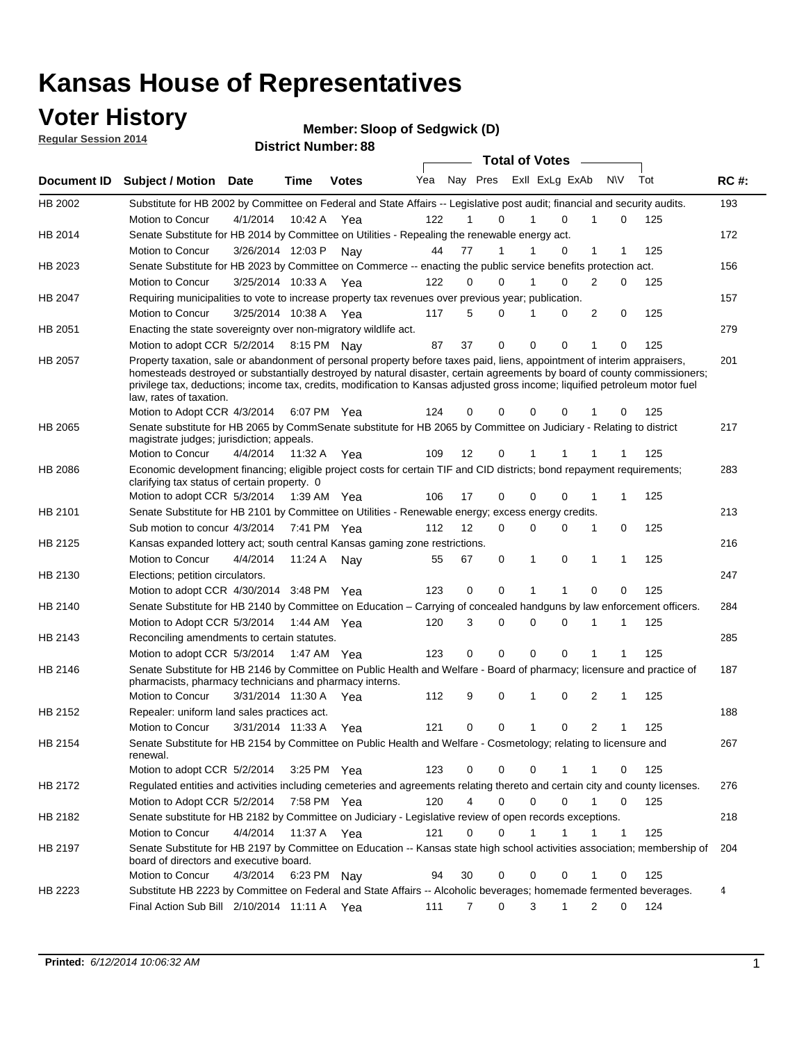### **Voter History**

**Regular Session 2014**

#### **Member: Sloop of Sedgwick (D)**

|             |                                                                                                                                                                                                                                                                                                                                                                                                                  |                       |             | <b>DISTRICT MAILINGL.CO</b> |     |    |                  | <b>Total of Votes</b>      |              |                     |     |     |             |
|-------------|------------------------------------------------------------------------------------------------------------------------------------------------------------------------------------------------------------------------------------------------------------------------------------------------------------------------------------------------------------------------------------------------------------------|-----------------------|-------------|-----------------------------|-----|----|------------------|----------------------------|--------------|---------------------|-----|-----|-------------|
| Document ID | <b>Subject / Motion</b>                                                                                                                                                                                                                                                                                                                                                                                          | Date                  | Time        | <b>Votes</b>                | Yea |    |                  | Nay Pres Exll ExLg ExAb    |              | <b>NV</b>           | Tot |     | <b>RC#:</b> |
| HB 2002     | Substitute for HB 2002 by Committee on Federal and State Affairs -- Legislative post audit; financial and security audits.                                                                                                                                                                                                                                                                                       |                       |             |                             |     |    |                  |                            |              |                     |     |     | 193         |
|             | Motion to Concur                                                                                                                                                                                                                                                                                                                                                                                                 | 4/1/2014              | 10:42 A     | Yea                         | 122 |    | 0                | $\Omega$                   |              | $\Omega$            |     | 125 |             |
| HB 2014     | Senate Substitute for HB 2014 by Committee on Utilities - Repealing the renewable energy act.                                                                                                                                                                                                                                                                                                                    |                       |             |                             |     |    |                  |                            |              |                     |     |     | 172         |
|             | Motion to Concur                                                                                                                                                                                                                                                                                                                                                                                                 | 3/26/2014 12:03 P Nay |             |                             | 44  | 77 | 1                | 0                          | 1            | 1                   |     | 125 |             |
| HB 2023     | Senate Substitute for HB 2023 by Committee on Commerce -- enacting the public service benefits protection act.                                                                                                                                                                                                                                                                                                   |                       |             |                             |     |    |                  |                            |              |                     |     |     | 156         |
|             | Motion to Concur                                                                                                                                                                                                                                                                                                                                                                                                 | 3/25/2014 10:33 A Yea |             |                             | 122 |    | 0<br>0           | 0<br>1                     | 2            | 0                   |     | 125 |             |
| HB 2047     | Requiring municipalities to vote to increase property tax revenues over previous year; publication.                                                                                                                                                                                                                                                                                                              |                       |             |                             |     |    |                  |                            |              |                     |     |     | 157         |
|             | Motion to Concur                                                                                                                                                                                                                                                                                                                                                                                                 | 3/25/2014 10:38 A Yea |             |                             | 117 |    | 5<br>0           | 0                          | 2            | 0                   |     | 125 |             |
| HB 2051     | Enacting the state sovereignty over non-migratory wildlife act.                                                                                                                                                                                                                                                                                                                                                  |                       |             |                             |     |    |                  |                            |              |                     |     |     | 279         |
|             | Motion to adopt CCR 5/2/2014 8:15 PM Nay                                                                                                                                                                                                                                                                                                                                                                         |                       |             |                             | 87  | 37 | $\mathbf 0$      | $\mathbf 0$<br>0           | 1            | 0                   |     | 125 |             |
| HB 2057     | Property taxation, sale or abandonment of personal property before taxes paid, liens, appointment of interim appraisers,<br>homesteads destroyed or substantially destroyed by natural disaster, certain agreements by board of county commissioners;<br>privilege tax, deductions; income tax, credits, modification to Kansas adjusted gross income; liquified petroleum motor fuel<br>law, rates of taxation. |                       |             |                             |     |    |                  |                            |              |                     |     |     | 201         |
|             | Motion to Adopt CCR 4/3/2014                                                                                                                                                                                                                                                                                                                                                                                     |                       |             | 6:07 PM Yea                 | 124 | 0  | 0                | $\mathbf 0$<br>0           |              | 0                   |     | 125 |             |
| HB 2065     | Senate substitute for HB 2065 by CommSenate substitute for HB 2065 by Committee on Judiciary - Relating to district<br>magistrate judges; jurisdiction; appeals.                                                                                                                                                                                                                                                 |                       |             |                             |     |    |                  |                            |              |                     |     |     | 217         |
|             | Motion to Concur                                                                                                                                                                                                                                                                                                                                                                                                 | 4/4/2014              | 11:32 A     | Yea                         | 109 | 12 | 0                | 1                          |              |                     |     | 125 |             |
| HB 2086     | Economic development financing; eligible project costs for certain TIF and CID districts; bond repayment requirements;<br>clarifying tax status of certain property. 0                                                                                                                                                                                                                                           |                       |             |                             |     |    |                  |                            |              |                     |     |     | 283         |
|             | Motion to adopt CCR 5/3/2014                                                                                                                                                                                                                                                                                                                                                                                     |                       | 1:39 AM Yea |                             | 106 | 17 | 0                | $\mathbf 0$<br>$\Omega$    | 1            | 1                   |     | 125 |             |
| HB 2101     | Senate Substitute for HB 2101 by Committee on Utilities - Renewable energy; excess energy credits.                                                                                                                                                                                                                                                                                                               |                       |             |                             |     |    |                  |                            |              |                     |     |     | 213         |
|             | Sub motion to concur 4/3/2014                                                                                                                                                                                                                                                                                                                                                                                    |                       |             | 7:41 PM Yea                 | 112 | 12 | 0                | $\mathbf 0$<br>$\mathbf 0$ | 1            | 0                   |     | 125 |             |
| HB 2125     | Kansas expanded lottery act; south central Kansas gaming zone restrictions.                                                                                                                                                                                                                                                                                                                                      |                       |             |                             |     |    |                  |                            |              |                     |     |     | 216         |
|             | Motion to Concur                                                                                                                                                                                                                                                                                                                                                                                                 | 4/4/2014              | 11:24 A     | Nav                         | 55  | 67 | 0                | 1<br>0                     | 1            | 1                   |     | 125 |             |
| HB 2130     | Elections; petition circulators.                                                                                                                                                                                                                                                                                                                                                                                 |                       |             |                             |     |    |                  |                            |              |                     |     |     | 247         |
|             | Motion to adopt CCR 4/30/2014 3:48 PM Yea                                                                                                                                                                                                                                                                                                                                                                        |                       |             |                             | 123 | 0  | 0                |                            | $\Omega$     | 0                   |     | 125 |             |
| HB 2140     | Senate Substitute for HB 2140 by Committee on Education – Carrying of concealed handguns by law enforcement officers.                                                                                                                                                                                                                                                                                            |                       |             |                             |     |    |                  |                            |              |                     |     |     | 284         |
|             | Motion to Adopt CCR 5/3/2014                                                                                                                                                                                                                                                                                                                                                                                     |                       |             | 1:44 AM Yea                 | 120 |    | 3<br>0           | $\mathbf 0$<br>$\mathbf 0$ | 1            | 1                   |     | 125 |             |
| HB 2143     | Reconciling amendments to certain statutes.                                                                                                                                                                                                                                                                                                                                                                      |                       |             |                             |     |    |                  |                            |              |                     |     |     | 285         |
|             | Motion to adopt CCR 5/3/2014                                                                                                                                                                                                                                                                                                                                                                                     |                       | 1:47 AM Yea |                             | 123 |    | 0<br>0           | $\mathbf 0$<br>$\mathbf 0$ | 1            | 1                   |     | 125 |             |
| HB 2146     | Senate Substitute for HB 2146 by Committee on Public Health and Welfare - Board of pharmacy; licensure and practice of<br>pharmacists, pharmacy technicians and pharmacy interns.                                                                                                                                                                                                                                |                       |             |                             |     |    |                  |                            |              |                     |     |     | 187         |
|             | Motion to Concur                                                                                                                                                                                                                                                                                                                                                                                                 | 3/31/2014 11:30 A     |             | Yea                         | 112 |    | 9<br>0           | $\mathbf 0$<br>1           | 2            | 1                   |     | 125 |             |
| HB 2152     | Repealer: uniform land sales practices act.                                                                                                                                                                                                                                                                                                                                                                      |                       |             |                             |     |    |                  |                            |              |                     |     |     | 188         |
|             | Motion to Concur                                                                                                                                                                                                                                                                                                                                                                                                 | 3/31/2014 11:33 A     |             | Yea                         | 121 | 0  | 0                | 1<br>0                     |              | $\overline{2}$<br>1 |     | 125 |             |
| HB 2154     | Senate Substitute for HB 2154 by Committee on Public Health and Welfare - Cosmetology; relating to licensure and<br>renewal.                                                                                                                                                                                                                                                                                     |                       |             |                             |     |    |                  |                            |              |                     |     |     | 267         |
|             | Motion to adopt CCR 5/2/2014                                                                                                                                                                                                                                                                                                                                                                                     |                       |             | 3:25 PM Yea                 | 123 |    | 0<br>0           | 0<br>1                     | 1            | 0                   |     | 125 |             |
| HB 2172     | Regulated entities and activities including cemeteries and agreements relating thereto and certain city and county licenses.                                                                                                                                                                                                                                                                                     |                       |             |                             |     |    |                  |                            |              |                     |     |     | 276         |
|             | Motion to Adopt CCR 5/2/2014                                                                                                                                                                                                                                                                                                                                                                                     |                       |             | 7:58 PM Yea                 | 120 |    | 4<br>$\mathbf 0$ | $\mathbf 0$<br>$\Omega$    | $\mathbf{1}$ | $\mathbf 0$         |     | 125 |             |
| HB 2182     | Senate substitute for HB 2182 by Committee on Judiciary - Legislative review of open records exceptions.                                                                                                                                                                                                                                                                                                         |                       |             |                             |     |    |                  |                            |              |                     |     |     | 218         |
|             | Motion to Concur                                                                                                                                                                                                                                                                                                                                                                                                 | 4/4/2014              | 11:37 A Yea |                             | 121 | 0  | $\mathbf 0$      | $\mathbf{1}$<br>1          | 1            | $\mathbf{1}$        |     | 125 |             |
| HB 2197     | Senate Substitute for HB 2197 by Committee on Education -- Kansas state high school activities association; membership of<br>board of directors and executive board.                                                                                                                                                                                                                                             |                       |             |                             |     |    |                  |                            |              |                     |     |     | 204         |
|             | Motion to Concur                                                                                                                                                                                                                                                                                                                                                                                                 | 4/3/2014              |             | 6:23 PM Nay                 | 94  | 30 | 0                | 0<br>0                     | 1            | 0                   |     | 125 |             |
| HB 2223     | Substitute HB 2223 by Committee on Federal and State Affairs -- Alcoholic beverages; homemade fermented beverages.                                                                                                                                                                                                                                                                                               |                       |             |                             |     |    |                  |                            |              |                     |     |     | 4           |
|             | Final Action Sub Bill 2/10/2014 11:11 A Yea                                                                                                                                                                                                                                                                                                                                                                      |                       |             |                             | 111 |    | 0<br>7           | 3<br>1                     |              | 2<br>0              |     | 124 |             |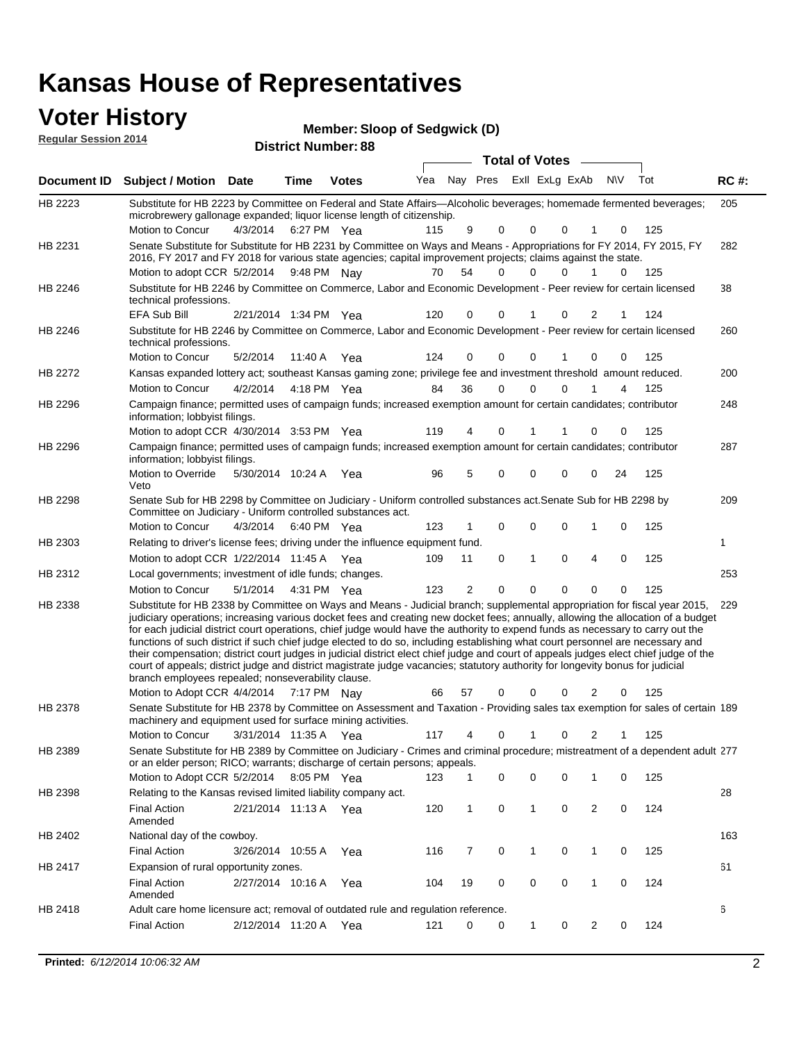# **Voter History**<br> **Regular Session 2014**

| <b>VULCI FIISLUI Y</b>      | Member: Sloop of Sedgwick (D) |
|-----------------------------|-------------------------------|
| <b>Regular Session 2014</b> | <b>District Number: 88</b>    |
|                             | <b>Total of Votes</b>         |

|         | Document ID Subject / Motion Date                                                                                                                                                                                                                                                                                                                                                                                                                                                                                                                                                                                                                                                                                                                                                                                                                                                                                   |          | Time                  | <b>Votes</b> | Yea | Nay Pres       |             | Exll ExLg ExAb |          |                | <b>NV</b> | Tot | <b>RC#:</b> |
|---------|---------------------------------------------------------------------------------------------------------------------------------------------------------------------------------------------------------------------------------------------------------------------------------------------------------------------------------------------------------------------------------------------------------------------------------------------------------------------------------------------------------------------------------------------------------------------------------------------------------------------------------------------------------------------------------------------------------------------------------------------------------------------------------------------------------------------------------------------------------------------------------------------------------------------|----------|-----------------------|--------------|-----|----------------|-------------|----------------|----------|----------------|-----------|-----|-------------|
| HB 2223 | Substitute for HB 2223 by Committee on Federal and State Affairs—Alcoholic beverages; homemade fermented beverages;<br>microbrewery gallonage expanded; liquor license length of citizenship.<br>Motion to Concur                                                                                                                                                                                                                                                                                                                                                                                                                                                                                                                                                                                                                                                                                                   | 4/3/2014 |                       | 6:27 PM Yea  | 115 | 9              | $\Omega$    | $\Omega$       | 0        |                | 0         | 125 | 205         |
| HB 2231 | Senate Substitute for Substitute for HB 2231 by Committee on Ways and Means - Appropriations for FY 2014, FY 2015, FY<br>2016, FY 2017 and FY 2018 for various state agencies; capital improvement projects; claims against the state.<br>Motion to adopt CCR 5/2/2014 9:48 PM Nay                                                                                                                                                                                                                                                                                                                                                                                                                                                                                                                                                                                                                                  |          |                       |              | 70  | 54             | 0           | $\Omega$       | U        |                | 0         | 125 | 282         |
| HB 2246 | Substitute for HB 2246 by Committee on Commerce, Labor and Economic Development - Peer review for certain licensed<br>technical professions.                                                                                                                                                                                                                                                                                                                                                                                                                                                                                                                                                                                                                                                                                                                                                                        |          |                       |              |     |                |             |                |          |                |           |     | 38          |
| HB 2246 | <b>EFA Sub Bill</b><br>Substitute for HB 2246 by Committee on Commerce, Labor and Economic Development - Peer review for certain licensed<br>technical professions.                                                                                                                                                                                                                                                                                                                                                                                                                                                                                                                                                                                                                                                                                                                                                 |          | 2/21/2014 1:34 PM Yea |              | 120 | 0              | 0           |                | 0        | 2              | 1         | 124 | 260         |
|         | Motion to Concur                                                                                                                                                                                                                                                                                                                                                                                                                                                                                                                                                                                                                                                                                                                                                                                                                                                                                                    | 5/2/2014 | 11:40 A               | Yea          | 124 | 0              | 0           | 0              |          | 0              | 0         | 125 |             |
| HB 2272 | Kansas expanded lottery act; southeast Kansas gaming zone; privilege fee and investment threshold amount reduced.                                                                                                                                                                                                                                                                                                                                                                                                                                                                                                                                                                                                                                                                                                                                                                                                   |          |                       |              |     |                |             |                |          |                |           |     | 200         |
|         | Motion to Concur                                                                                                                                                                                                                                                                                                                                                                                                                                                                                                                                                                                                                                                                                                                                                                                                                                                                                                    | 4/2/2014 |                       | 4:18 PM Yea  | 84  | 36             | $\mathbf 0$ | $\mathbf 0$    | $\Omega$ |                | 4         | 125 |             |
| HB 2296 | Campaign finance; permitted uses of campaign funds; increased exemption amount for certain candidates; contributor<br>information; lobbyist filings.                                                                                                                                                                                                                                                                                                                                                                                                                                                                                                                                                                                                                                                                                                                                                                |          |                       |              |     |                |             |                |          |                |           |     | 248         |
|         | Motion to adopt CCR 4/30/2014 3:53 PM Yea                                                                                                                                                                                                                                                                                                                                                                                                                                                                                                                                                                                                                                                                                                                                                                                                                                                                           |          |                       |              | 119 | 4              | 0           |                |          | 0              | 0         | 125 |             |
| HB 2296 | Campaign finance; permitted uses of campaign funds; increased exemption amount for certain candidates; contributor<br>information; lobbyist filings.                                                                                                                                                                                                                                                                                                                                                                                                                                                                                                                                                                                                                                                                                                                                                                |          |                       |              |     |                |             |                |          |                |           |     | 287         |
|         | Motion to Override<br>Veto                                                                                                                                                                                                                                                                                                                                                                                                                                                                                                                                                                                                                                                                                                                                                                                                                                                                                          |          | 5/30/2014 10:24 A     | Yea          | 96  | 5              | 0           | $\mathbf 0$    | 0        | 0              | 24        | 125 |             |
| HB 2298 | Senate Sub for HB 2298 by Committee on Judiciary - Uniform controlled substances act. Senate Sub for HB 2298 by<br>Committee on Judiciary - Uniform controlled substances act.                                                                                                                                                                                                                                                                                                                                                                                                                                                                                                                                                                                                                                                                                                                                      |          |                       |              |     |                |             |                |          |                |           |     | 209         |
|         | Motion to Concur                                                                                                                                                                                                                                                                                                                                                                                                                                                                                                                                                                                                                                                                                                                                                                                                                                                                                                    | 4/3/2014 |                       | 6:40 PM Yea  | 123 | 1              | 0           | $\mathbf 0$    | 0        | 1              | 0         | 125 |             |
| HB 2303 | Relating to driver's license fees; driving under the influence equipment fund.                                                                                                                                                                                                                                                                                                                                                                                                                                                                                                                                                                                                                                                                                                                                                                                                                                      |          |                       |              |     |                |             |                |          |                |           |     | 1           |
|         | Motion to adopt CCR 1/22/2014 11:45 A Yea                                                                                                                                                                                                                                                                                                                                                                                                                                                                                                                                                                                                                                                                                                                                                                                                                                                                           |          |                       |              | 109 | 11             | 0           | 1              | 0        | 4              | 0         | 125 |             |
| HB 2312 | Local governments; investment of idle funds; changes.                                                                                                                                                                                                                                                                                                                                                                                                                                                                                                                                                                                                                                                                                                                                                                                                                                                               |          |                       |              |     |                |             |                |          |                |           |     | 253         |
|         | Motion to Concur                                                                                                                                                                                                                                                                                                                                                                                                                                                                                                                                                                                                                                                                                                                                                                                                                                                                                                    | 5/1/2014 |                       | 4:31 PM Yea  | 123 | $\overline{2}$ | 0           | $\mathbf 0$    | 0        | 0              | 0         | 125 |             |
| HB 2338 | Substitute for HB 2338 by Committee on Ways and Means - Judicial branch; supplemental appropriation for fiscal year 2015, 229<br>judiciary operations; increasing various docket fees and creating new docket fees; annually, allowing the allocation of a budget<br>for each judicial district court operations, chief judge would have the authority to expend funds as necessary to carry out the<br>functions of such district if such chief judge elected to do so, including establishing what court personnel are necessary and<br>their compensation; district court judges in judicial district elect chief judge and court of appeals judges elect chief judge of the<br>court of appeals; district judge and district magistrate judge vacancies; statutory authority for longevity bonus for judicial<br>branch employees repealed; nonseverability clause.<br>Motion to Adopt CCR 4/4/2014 7:17 PM Nay |          |                       |              | 66  | 57             | 0           | 0              | 0        | 2              | 0         | 125 |             |
| HB 2378 | Senate Substitute for HB 2378 by Committee on Assessment and Taxation - Providing sales tax exemption for sales of certain 189<br>machinery and equipment used for surface mining activities.                                                                                                                                                                                                                                                                                                                                                                                                                                                                                                                                                                                                                                                                                                                       |          |                       |              |     |                |             |                |          |                |           |     |             |
|         | Motion to Concur                                                                                                                                                                                                                                                                                                                                                                                                                                                                                                                                                                                                                                                                                                                                                                                                                                                                                                    |          | 3/31/2014 11:35 A     | Yea          | 117 | 4              | 0           |                | 0        | 2              |           | 125 |             |
| HB 2389 | Senate Substitute for HB 2389 by Committee on Judiciary - Crimes and criminal procedure; mistreatment of a dependent adult 277<br>or an elder person; RICO; warrants; discharge of certain persons; appeals.                                                                                                                                                                                                                                                                                                                                                                                                                                                                                                                                                                                                                                                                                                        |          |                       |              |     |                |             |                |          |                |           |     |             |
|         | Motion to Adopt CCR 5/2/2014                                                                                                                                                                                                                                                                                                                                                                                                                                                                                                                                                                                                                                                                                                                                                                                                                                                                                        |          |                       | 8:05 PM Yea  | 123 | 1              | 0           | 0              | 0        | 1              | 0         | 125 |             |
| HB 2398 | Relating to the Kansas revised limited liability company act.<br><b>Final Action</b><br>Amended                                                                                                                                                                                                                                                                                                                                                                                                                                                                                                                                                                                                                                                                                                                                                                                                                     |          | 2/21/2014 11:13 A Yea |              | 120 | $\mathbf{1}$   | 0           | $\mathbf{1}$   | 0        | $\overline{2}$ | 0         | 124 | 28          |
| HB 2402 | National day of the cowboy.                                                                                                                                                                                                                                                                                                                                                                                                                                                                                                                                                                                                                                                                                                                                                                                                                                                                                         |          |                       |              |     |                |             |                |          |                |           |     | 163         |
|         | <b>Final Action</b>                                                                                                                                                                                                                                                                                                                                                                                                                                                                                                                                                                                                                                                                                                                                                                                                                                                                                                 |          | 3/26/2014 10:55 A     | Yea          | 116 | 7              | 0           | 1              | 0        | 1              | 0         | 125 |             |
| HB 2417 | Expansion of rural opportunity zones.                                                                                                                                                                                                                                                                                                                                                                                                                                                                                                                                                                                                                                                                                                                                                                                                                                                                               |          |                       |              |     |                |             |                |          |                |           |     | 61          |
|         | <b>Final Action</b><br>Amended                                                                                                                                                                                                                                                                                                                                                                                                                                                                                                                                                                                                                                                                                                                                                                                                                                                                                      |          | 2/27/2014 10:16 A     | Yea          | 104 | 19             | 0           | 0              | 0        | 1              | 0         | 124 |             |
| HB 2418 | Adult care home licensure act; removal of outdated rule and regulation reference.                                                                                                                                                                                                                                                                                                                                                                                                                                                                                                                                                                                                                                                                                                                                                                                                                                   |          |                       |              |     |                |             |                |          |                |           |     | 6           |
|         | <b>Final Action</b>                                                                                                                                                                                                                                                                                                                                                                                                                                                                                                                                                                                                                                                                                                                                                                                                                                                                                                 |          | 2/12/2014 11:20 A Yea |              | 121 | 0              | 0           | $\mathbf{1}$   | 0        | $\overline{2}$ | 0         | 124 |             |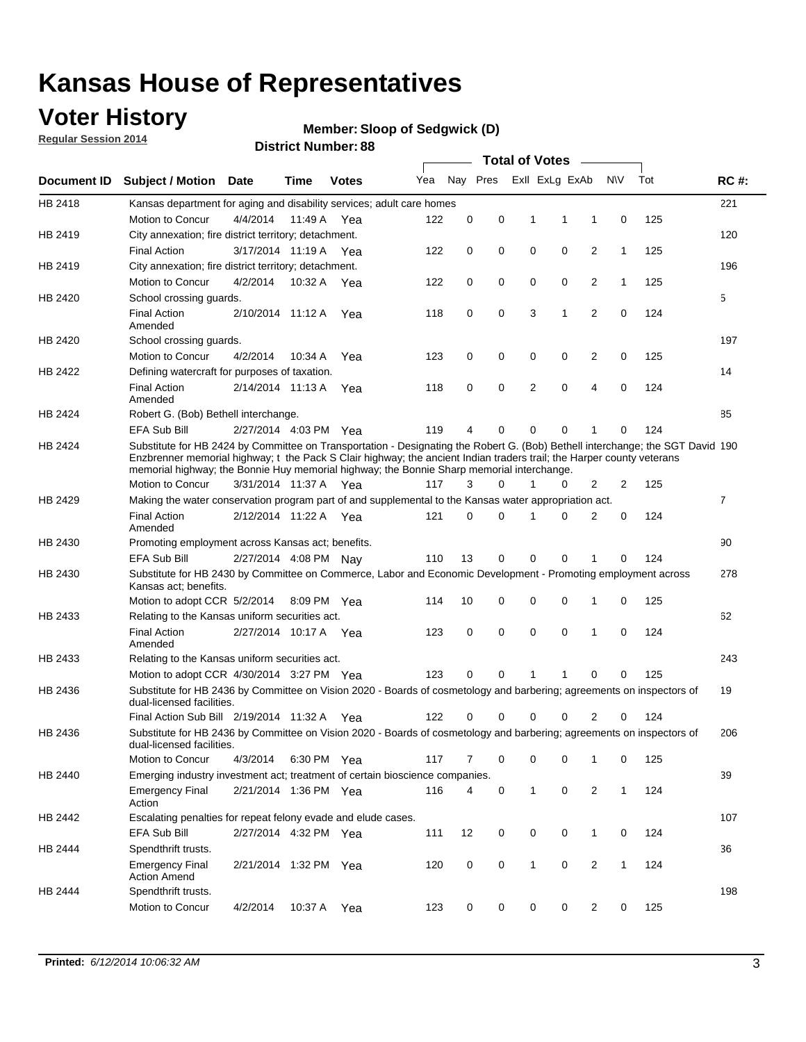## **Voter History**

**Regular Session 2014**

#### **Member: Sloop of Sedgwick (D)**

|                    |                                                                                                                                                                                                                                                                                                                                                      |                       |             | DISTRICT MAILINGL. 00 |     |          |          |              | Total of Votes –        |                |              |     |                |
|--------------------|------------------------------------------------------------------------------------------------------------------------------------------------------------------------------------------------------------------------------------------------------------------------------------------------------------------------------------------------------|-----------------------|-------------|-----------------------|-----|----------|----------|--------------|-------------------------|----------------|--------------|-----|----------------|
| <b>Document ID</b> | <b>Subject / Motion</b>                                                                                                                                                                                                                                                                                                                              | Date                  | Time        | <b>Votes</b>          | Yea |          |          |              | Nay Pres ExII ExLg ExAb |                | <b>NV</b>    | Tot | <b>RC#:</b>    |
| HB 2418            | Kansas department for aging and disability services; adult care homes                                                                                                                                                                                                                                                                                |                       |             |                       |     |          |          |              |                         |                |              |     | 221            |
|                    | Motion to Concur                                                                                                                                                                                                                                                                                                                                     | 4/4/2014              | 11:49 A     | Yea                   | 122 | 0        | 0        | 1            | 1                       | 1              | 0            | 125 |                |
| HB 2419            | City annexation; fire district territory; detachment.                                                                                                                                                                                                                                                                                                |                       |             |                       |     |          |          |              |                         |                |              |     | 120            |
|                    | <b>Final Action</b>                                                                                                                                                                                                                                                                                                                                  | 3/17/2014 11:19 A     |             | Yea                   | 122 | 0        | 0        | 0            | 0                       | 2              | 1            | 125 |                |
| HB 2419            | City annexation; fire district territory; detachment.                                                                                                                                                                                                                                                                                                |                       |             |                       |     |          |          |              |                         |                |              |     | 196            |
|                    | Motion to Concur                                                                                                                                                                                                                                                                                                                                     | 4/2/2014              | 10:32 A     | Yea                   | 122 | 0        | 0        | 0            | 0                       | 2              | $\mathbf{1}$ | 125 |                |
| HB 2420            | School crossing guards.                                                                                                                                                                                                                                                                                                                              |                       |             |                       |     |          |          |              |                         |                |              |     | 5              |
|                    | <b>Final Action</b><br>Amended                                                                                                                                                                                                                                                                                                                       | 2/10/2014 11:12 A     |             | Yea                   | 118 | 0        | 0        | 3            | 1                       | $\overline{2}$ | 0            | 124 |                |
| HB 2420            | School crossing guards.                                                                                                                                                                                                                                                                                                                              |                       |             |                       |     |          |          |              |                         |                |              |     | 197            |
|                    | Motion to Concur                                                                                                                                                                                                                                                                                                                                     | 4/2/2014              | 10:34 A     | Yea                   | 123 | 0        | 0        | 0            | 0                       | 2              | 0            | 125 |                |
| HB 2422            | Defining watercraft for purposes of taxation.                                                                                                                                                                                                                                                                                                        |                       |             |                       |     |          |          |              |                         |                |              |     | 14             |
|                    | <b>Final Action</b><br>Amended                                                                                                                                                                                                                                                                                                                       | 2/14/2014 11:13 A     |             | Yea                   | 118 | 0        | 0        | 2            | 0                       | 4              | 0            | 124 |                |
| HB 2424            | Robert G. (Bob) Bethell interchange.                                                                                                                                                                                                                                                                                                                 |                       |             |                       |     |          |          |              |                         |                |              |     | 85             |
|                    | EFA Sub Bill                                                                                                                                                                                                                                                                                                                                         | 2/27/2014 4:03 PM Yea |             |                       | 119 | 4        | 0        | 0            | 0                       | 1              | 0            | 124 |                |
| HB 2424            | Substitute for HB 2424 by Committee on Transportation - Designating the Robert G. (Bob) Bethell interchange; the SGT David 190<br>Enzbrenner memorial highway; t the Pack S Clair highway; the ancient Indian traders trail; the Harper county veterans<br>memorial highway; the Bonnie Huy memorial highway; the Bonnie Sharp memorial interchange. |                       |             |                       |     |          |          |              |                         |                |              |     |                |
|                    | Motion to Concur                                                                                                                                                                                                                                                                                                                                     | 3/31/2014 11:37 A Yea |             |                       | 117 | 3        | $\Omega$ | 1            | 0                       | 2              | 2            | 125 |                |
| HB 2429            | Making the water conservation program part of and supplemental to the Kansas water appropriation act.                                                                                                                                                                                                                                                |                       |             |                       |     |          |          |              |                         |                |              |     | $\overline{7}$ |
|                    | <b>Final Action</b><br>Amended                                                                                                                                                                                                                                                                                                                       | 2/12/2014 11:22 A Yea |             |                       | 121 | $\Omega$ | 0        | 1            | 0                       | 2              | 0            | 124 |                |
| HB 2430            | Promoting employment across Kansas act; benefits.                                                                                                                                                                                                                                                                                                    |                       |             |                       |     |          |          |              |                         |                |              |     | 90             |
|                    | EFA Sub Bill                                                                                                                                                                                                                                                                                                                                         | 2/27/2014 4:08 PM Nav |             |                       | 110 | 13       | 0        | 0            | 0                       | 1              | 0            | 124 |                |
| HB 2430            | Substitute for HB 2430 by Committee on Commerce, Labor and Economic Development - Promoting employment across<br>Kansas act; benefits.                                                                                                                                                                                                               |                       |             |                       |     |          |          |              |                         |                |              |     | 278            |
|                    | Motion to adopt CCR 5/2/2014                                                                                                                                                                                                                                                                                                                         |                       | 8:09 PM Yea |                       | 114 | 10       | 0        | 0            | 0                       | 1              | 0            | 125 |                |
| HB 2433            | Relating to the Kansas uniform securities act.                                                                                                                                                                                                                                                                                                       |                       |             |                       |     |          |          |              |                         |                |              |     | 62             |
|                    | <b>Final Action</b><br>Amended                                                                                                                                                                                                                                                                                                                       | 2/27/2014 10:17 A Yea |             |                       | 123 | 0        | 0        | $\mathbf 0$  | 0                       | 1              | $\mathbf 0$  | 124 |                |
| HB 2433            | Relating to the Kansas uniform securities act.                                                                                                                                                                                                                                                                                                       |                       |             |                       |     |          |          |              |                         |                |              |     | 243            |
|                    | Motion to adopt CCR 4/30/2014 3:27 PM Yea                                                                                                                                                                                                                                                                                                            |                       |             |                       | 123 | $\Omega$ | $\Omega$ | 1            | 1                       | 0              | 0            | 125 |                |
| HB 2436            | Substitute for HB 2436 by Committee on Vision 2020 - Boards of cosmetology and barbering; agreements on inspectors of<br>dual-licensed facilities.                                                                                                                                                                                                   |                       |             |                       |     |          |          |              |                         |                |              |     | 19             |
|                    | Final Action Sub Bill 2/19/2014 11:32 A                                                                                                                                                                                                                                                                                                              |                       |             | Yea                   | 122 |          | 0        | 0            | 0                       | 2              | 0            | 124 |                |
| HB 2436            | Substitute for HB 2436 by Committee on Vision 2020 - Boards of cosmetology and barbering; agreements on inspectors of<br>dual-licensed facilities.                                                                                                                                                                                                   |                       |             |                       |     |          |          |              |                         |                |              |     | 206            |
|                    | Motion to Concur                                                                                                                                                                                                                                                                                                                                     | 4/3/2014              | 6:30 PM Yea |                       | 117 | 7        | 0        | 0            | 0                       | 1              | 0            | 125 |                |
| HB 2440            | Emerging industry investment act; treatment of certain bioscience companies.                                                                                                                                                                                                                                                                         |                       |             |                       |     |          |          |              |                         |                |              |     | 39             |
|                    | <b>Emergency Final</b><br>Action                                                                                                                                                                                                                                                                                                                     | 2/21/2014 1:36 PM Yea |             |                       | 116 | 4        | 0        | 1            | $\mathbf 0$             | $\overline{2}$ | $\mathbf{1}$ | 124 |                |
| HB 2442            | Escalating penalties for repeat felony evade and elude cases.                                                                                                                                                                                                                                                                                        |                       |             |                       |     |          |          |              |                         |                |              |     | 107            |
|                    | EFA Sub Bill                                                                                                                                                                                                                                                                                                                                         | 2/27/2014 4:32 PM Yea |             |                       | 111 | 12       | 0        | 0            | 0                       | $\mathbf{1}$   | 0            | 124 |                |
| HB 2444            | Spendthrift trusts.                                                                                                                                                                                                                                                                                                                                  |                       |             |                       |     |          |          |              |                         |                |              |     | 36             |
|                    | <b>Emergency Final</b><br><b>Action Amend</b>                                                                                                                                                                                                                                                                                                        | 2/21/2014 1:32 PM Yea |             |                       | 120 | 0        | 0        | $\mathbf{1}$ | 0                       | $\overline{c}$ | $\mathbf{1}$ | 124 |                |
| HB 2444            | Spendthrift trusts.                                                                                                                                                                                                                                                                                                                                  |                       |             |                       |     |          |          |              |                         |                |              |     | 198            |
|                    | Motion to Concur                                                                                                                                                                                                                                                                                                                                     | 4/2/2014              |             | 10:37 A Yea           | 123 | 0        | 0        | 0            | 0                       | $\overline{2}$ | 0            | 125 |                |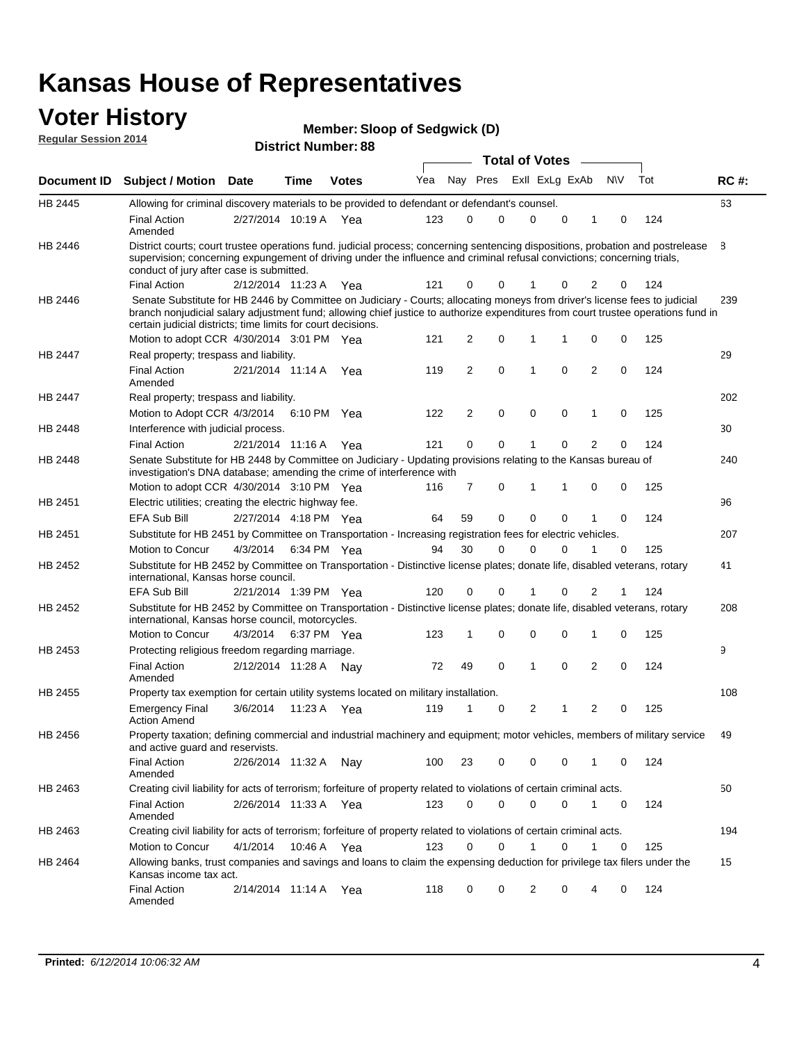#### **Voter History Regular Session 2014**

|  |  | <b>Member: Sloop of Sedgwick (D)</b> |  |
|--|--|--------------------------------------|--|
|--|--|--------------------------------------|--|

| <b>District Number: 88</b> |  |
|----------------------------|--|
|                            |  |

|                |                                                                                                                                                                                                                                                                                                                                 |                       |      |             |     |          |             |              | <b>Total of Votes</b> |   |                |             |     |             |
|----------------|---------------------------------------------------------------------------------------------------------------------------------------------------------------------------------------------------------------------------------------------------------------------------------------------------------------------------------|-----------------------|------|-------------|-----|----------|-------------|--------------|-----------------------|---|----------------|-------------|-----|-------------|
|                | Document ID Subject / Motion Date                                                                                                                                                                                                                                                                                               |                       | Time | Votes       | Yea | Nay Pres |             |              | Exll ExLg ExAb        |   |                | <b>NV</b>   | Tot | <b>RC#:</b> |
| HB 2445        | Allowing for criminal discovery materials to be provided to defendant or defendant's counsel.                                                                                                                                                                                                                                   |                       |      |             |     |          |             |              |                       |   |                |             |     | 63          |
|                | <b>Final Action</b><br>Amended                                                                                                                                                                                                                                                                                                  | 2/27/2014 10:19 A Yea |      |             | 123 | 0        | 0           |              | 0                     | 0 | 1              | 0           | 124 |             |
| HB 2446        | District courts; court trustee operations fund. judicial process; concerning sentencing dispositions, probation and postrelease<br>supervision; concerning expungement of driving under the influence and criminal refusal convictions; concerning trials,<br>conduct of jury after case is submitted.                          |                       |      |             |     |          |             |              |                       |   |                |             |     | 8           |
|                | <b>Final Action</b>                                                                                                                                                                                                                                                                                                             | 2/12/2014 11:23 A Yea |      |             | 121 | 0        | 0           |              |                       | 0 | 2              | 0           | 124 |             |
| HB 2446        | Senate Substitute for HB 2446 by Committee on Judiciary - Courts; allocating moneys from driver's license fees to judicial<br>branch nonjudicial salary adjustment fund; allowing chief justice to authorize expenditures from court trustee operations fund in<br>certain judicial districts; time limits for court decisions. |                       |      |             |     |          |             |              |                       |   |                |             |     | 239         |
|                | Motion to adopt CCR 4/30/2014 3:01 PM Yea                                                                                                                                                                                                                                                                                       |                       |      |             | 121 | 2        | 0           | 1            |                       | 1 | 0              | 0           | 125 |             |
| <b>HB 2447</b> | Real property; trespass and liability.                                                                                                                                                                                                                                                                                          |                       |      |             |     |          |             |              |                       |   |                |             |     | 29          |
|                | <b>Final Action</b><br>Amended                                                                                                                                                                                                                                                                                                  | 2/21/2014 11:14 A Yea |      |             | 119 | 2        | $\mathbf 0$ | $\mathbf{1}$ |                       | 0 | 2              | 0           | 124 |             |
| HB 2447        | Real property; trespass and liability.                                                                                                                                                                                                                                                                                          |                       |      |             |     |          |             |              |                       |   |                |             |     | 202         |
|                | Motion to Adopt CCR 4/3/2014 6:10 PM Yea                                                                                                                                                                                                                                                                                        |                       |      |             | 122 | 2        | 0           |              | 0                     | 0 | 1              | 0           | 125 |             |
| HB 2448        | Interference with judicial process.                                                                                                                                                                                                                                                                                             |                       |      |             |     |          |             |              |                       |   |                |             |     | 30          |
|                | <b>Final Action</b>                                                                                                                                                                                                                                                                                                             | 2/21/2014 11:16 A Yea |      |             | 121 | 0        | 0           | 1            |                       | 0 | 2              | 0           | 124 |             |
| HB 2448        | Senate Substitute for HB 2448 by Committee on Judiciary - Updating provisions relating to the Kansas bureau of<br>investigation's DNA database; amending the crime of interference with                                                                                                                                         |                       |      |             |     |          |             |              |                       |   |                |             |     | 240         |
|                | Motion to adopt CCR 4/30/2014 3:10 PM Yea                                                                                                                                                                                                                                                                                       |                       |      |             | 116 | 7        | 0           | $\mathbf 1$  |                       | 1 | 0              | 0           | 125 |             |
| HB 2451        | Electric utilities; creating the electric highway fee.                                                                                                                                                                                                                                                                          |                       |      |             |     |          |             |              |                       |   |                |             |     | 96          |
|                | <b>EFA Sub Bill</b>                                                                                                                                                                                                                                                                                                             | 2/27/2014 4:18 PM Yea |      |             | 64  | 59       | 0           |              | 0                     | 0 | 1              | 0           | 124 |             |
| HB 2451        | Substitute for HB 2451 by Committee on Transportation - Increasing registration fees for electric vehicles.                                                                                                                                                                                                                     |                       |      |             |     |          |             |              |                       |   |                |             |     | 207         |
|                | Motion to Concur                                                                                                                                                                                                                                                                                                                | 4/3/2014              |      | 6:34 PM Yea | 94  | 30       | 0           | $\Omega$     |                       | 0 | 1              | 0           | 125 |             |
| HB 2452        | Substitute for HB 2452 by Committee on Transportation - Distinctive license plates; donate life, disabled veterans, rotary<br>international, Kansas horse council.                                                                                                                                                              |                       |      |             |     |          |             |              |                       |   |                |             |     | 41          |
|                | EFA Sub Bill                                                                                                                                                                                                                                                                                                                    | 2/21/2014 1:39 PM Yea |      |             | 120 | 0        | 0           |              |                       | 0 | 2              | 1           | 124 |             |
| HB 2452        | Substitute for HB 2452 by Committee on Transportation - Distinctive license plates; donate life, disabled veterans, rotary<br>international, Kansas horse council, motorcycles.                                                                                                                                                 |                       |      |             |     |          |             |              |                       |   |                |             |     | 208         |
|                | Motion to Concur                                                                                                                                                                                                                                                                                                                | 4/3/2014              |      | 6:37 PM Yea | 123 | 1        | 0           | $\mathbf 0$  |                       | 0 | 1              | 0           | 125 |             |
| HB 2453        | Protecting religious freedom regarding marriage.                                                                                                                                                                                                                                                                                |                       |      |             |     |          |             |              |                       |   |                |             |     | 9           |
|                | <b>Final Action</b><br>Amended                                                                                                                                                                                                                                                                                                  | 2/12/2014 11:28 A Nay |      |             | 72  | 49       | 0           | $\mathbf{1}$ |                       | 0 | $\overline{2}$ | 0           | 124 |             |
| HB 2455        | Property tax exemption for certain utility systems located on military installation.                                                                                                                                                                                                                                            |                       |      |             |     |          |             |              |                       |   |                |             |     | 108         |
|                | <b>Emergency Final</b><br><b>Action Amend</b>                                                                                                                                                                                                                                                                                   | 3/6/2014              |      | 11:23 A Yea | 119 | 1        | 0           |              | 2                     | 1 | 2              | 0           | 125 |             |
| HB 2456        | Property taxation; defining commercial and industrial machinery and equipment; motor vehicles, members of military service<br>and active guard and reservists.                                                                                                                                                                  |                       |      |             |     |          |             |              |                       |   |                |             |     | 49          |
|                | <b>Final Action</b><br>Amended                                                                                                                                                                                                                                                                                                  | 2/26/2014 11:32 A Nay |      |             | 100 | 23       | 0           |              | 0                     | 0 | 1              | 0           | 124 |             |
| HB 2463        | Creating civil liability for acts of terrorism; forfeiture of property related to violations of certain criminal acts.                                                                                                                                                                                                          |                       |      |             |     |          |             |              |                       |   |                |             |     | 50          |
|                | <b>Final Action</b><br>Amended                                                                                                                                                                                                                                                                                                  | 2/26/2014 11:33 A Yea |      |             | 123 | 0        | 0           |              | $\mathbf 0$           | 0 | $\mathbf{1}$   | $\mathbf 0$ | 124 |             |
| HB 2463        | Creating civil liability for acts of terrorism; forfeiture of property related to violations of certain criminal acts.                                                                                                                                                                                                          |                       |      |             |     |          |             |              |                       |   |                |             |     | 194         |
|                | Motion to Concur                                                                                                                                                                                                                                                                                                                | 4/1/2014              |      | 10:46 A Yea | 123 | 0        | 0           | $\mathbf{1}$ |                       | 0 | 1              | 0           | 125 |             |
| HB 2464        | Allowing banks, trust companies and savings and loans to claim the expensing deduction for privilege tax filers under the<br>Kansas income tax act.                                                                                                                                                                             |                       |      |             |     |          |             |              |                       |   |                |             |     | 15          |
|                | <b>Final Action</b><br>Amended                                                                                                                                                                                                                                                                                                  | 2/14/2014 11:14 A Yea |      |             | 118 | 0        | 0           |              | 2                     | 0 | 4              | 0           | 124 |             |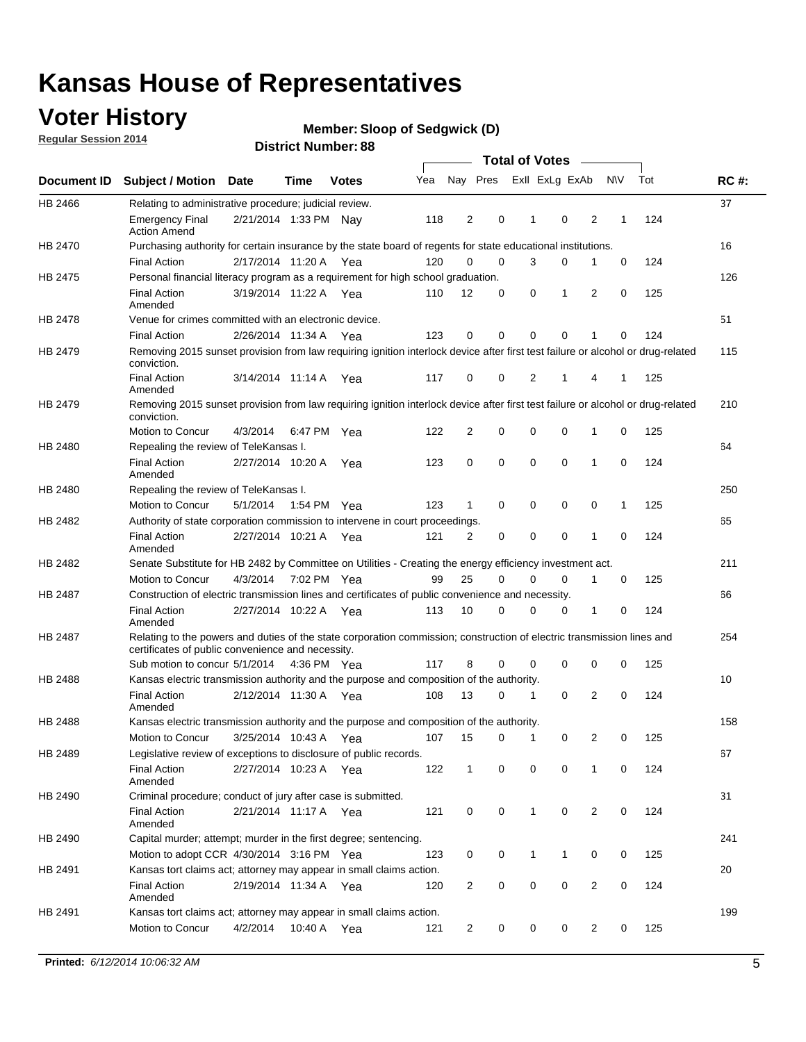## **Voter History**

**Regular Session 2014**

#### **Member: Sloop of Sedgwick (D)**

|                |                                                                                                                                                                             |                       |      |              |     |          |             | <b>Total of Votes</b> |              |                |   |             |     |             |
|----------------|-----------------------------------------------------------------------------------------------------------------------------------------------------------------------------|-----------------------|------|--------------|-----|----------|-------------|-----------------------|--------------|----------------|---|-------------|-----|-------------|
|                | Document ID Subject / Motion Date                                                                                                                                           |                       | Time | <b>Votes</b> | Yea | Nay Pres |             |                       |              | Exll ExLg ExAb |   | <b>NV</b>   | Tot | <b>RC#:</b> |
| HB 2466        | Relating to administrative procedure; judicial review.                                                                                                                      |                       |      |              |     |          |             |                       |              |                |   |             |     | 37          |
|                | <b>Emergency Final</b><br><b>Action Amend</b>                                                                                                                               | 2/21/2014 1:33 PM Nav |      |              | 118 | 2        | 0           |                       | 1            | 0              | 2 | 1           | 124 |             |
| HB 2470        | Purchasing authority for certain insurance by the state board of regents for state educational institutions.                                                                |                       |      |              |     |          |             |                       |              |                |   |             |     | 16          |
|                | <b>Final Action</b>                                                                                                                                                         | 2/17/2014 11:20 A Yea |      |              | 120 | 0        | 0           |                       | 3            | 0              | 1 | 0           | 124 |             |
| HB 2475        | Personal financial literacy program as a requirement for high school graduation.                                                                                            |                       |      |              |     |          |             |                       |              |                |   |             |     | 126         |
|                | <b>Final Action</b><br>Amended                                                                                                                                              | 3/19/2014 11:22 A Yea |      |              | 110 | 12       | 0           |                       | 0            | 1              | 2 | 0           | 125 |             |
| HB 2478        | Venue for crimes committed with an electronic device.                                                                                                                       |                       |      |              |     |          |             |                       |              |                |   |             |     | 51          |
|                | <b>Final Action</b>                                                                                                                                                         | 2/26/2014 11:34 A     |      | Yea          | 123 | 0        | $\mathbf 0$ |                       | $\mathbf 0$  | $\mathbf 0$    | 1 | 0           | 124 |             |
| HB 2479        | Removing 2015 sunset provision from law requiring ignition interlock device after first test failure or alcohol or drug-related<br>conviction.                              |                       |      |              |     |          |             |                       |              |                |   |             |     | 115         |
|                | <b>Final Action</b><br>Amended                                                                                                                                              | 3/14/2014 11:14 A     |      | Yea          | 117 | 0        | 0           |                       | 2            | 1              | 4 | 1           | 125 |             |
| HB 2479        | Removing 2015 sunset provision from law requiring ignition interlock device after first test failure or alcohol or drug-related<br>conviction.                              |                       |      |              |     |          |             |                       |              |                |   |             |     | 210         |
|                | Motion to Concur                                                                                                                                                            | 4/3/2014              |      | 6:47 PM Yea  | 122 | 2        | 0           |                       | 0            | 0              | 1 | 0           | 125 |             |
| HB 2480        | Repealing the review of TeleKansas I.                                                                                                                                       |                       |      |              |     |          |             |                       |              |                |   |             |     | 64          |
|                | <b>Final Action</b><br>Amended                                                                                                                                              | 2/27/2014 10:20 A     |      | Yea          | 123 | 0        | 0           |                       | $\mathbf 0$  | $\mathbf 0$    | 1 | 0           | 124 |             |
| <b>HB 2480</b> | Repealing the review of TeleKansas I.                                                                                                                                       |                       |      |              |     |          |             |                       |              |                |   |             |     | 250         |
|                | Motion to Concur                                                                                                                                                            | 5/1/2014              |      | 1:54 PM Yea  | 123 | 1        | 0           |                       | 0            | $\mathbf 0$    | 0 | 1           | 125 |             |
| HB 2482        | Authority of state corporation commission to intervene in court proceedings.                                                                                                |                       |      |              |     |          |             |                       |              |                |   |             |     | 65          |
|                | <b>Final Action</b><br>Amended                                                                                                                                              | 2/27/2014 10:21 A     |      | Yea          | 121 | 2        | 0           |                       | $\mathbf 0$  | $\mathbf 0$    | 1 | $\mathbf 0$ | 124 |             |
| HB 2482        | Senate Substitute for HB 2482 by Committee on Utilities - Creating the energy efficiency investment act.                                                                    |                       |      |              |     |          |             |                       |              |                |   |             |     | 211         |
|                | Motion to Concur                                                                                                                                                            | 4/3/2014 7:02 PM Yea  |      |              | 99  | 25       | $\mathbf 0$ |                       | 0            | 0              | 1 | 0           | 125 |             |
| HB 2487        | Construction of electric transmission lines and certificates of public convenience and necessity.                                                                           |                       |      |              |     |          |             |                       |              |                |   |             |     | 66          |
|                | <b>Final Action</b><br>Amended                                                                                                                                              | 2/27/2014 10:22 A Yea |      |              | 113 | 10       | 0           |                       | 0            | 0              | 1 | 0           | 124 |             |
| HB 2487        | Relating to the powers and duties of the state corporation commission; construction of electric transmission lines and<br>certificates of public convenience and necessity. |                       |      |              |     |          |             |                       |              |                |   |             |     | 254         |
|                | Sub motion to concur 5/1/2014                                                                                                                                               |                       |      | 4:36 PM Yea  | 117 | 8        | 0           |                       | 0            | $\mathbf 0$    | 0 | 0           | 125 |             |
| <b>HB 2488</b> | Kansas electric transmission authority and the purpose and composition of the authority.                                                                                    |                       |      |              |     |          |             |                       |              |                |   |             |     | 10          |
|                | <b>Final Action</b><br>Amended                                                                                                                                              | 2/12/2014 11:30 A Yea |      |              | 108 | 13       | 0           |                       | 1            | 0              | 2 | 0           | 124 |             |
| HB 2488        | Kansas electric transmission authority and the purpose and composition of the authority.                                                                                    |                       |      |              |     |          |             |                       |              |                |   |             |     | 158         |
|                | Motion to Concur                                                                                                                                                            | 3/25/2014 10:43 A     |      | Yea          | 107 | 15       | 0           |                       | 1            | 0              | 2 | 0           | 125 |             |
| HB 2489        | Legislative review of exceptions to disclosure of public records.                                                                                                           |                       |      |              |     |          |             |                       |              |                |   |             |     | 67          |
|                | <b>Final Action</b><br>Amended                                                                                                                                              | 2/27/2014 10:23 A Yea |      |              | 122 | 1        | 0           |                       | 0            | $\mathbf 0$    | 1 | 0           | 124 |             |
| HB 2490        | Criminal procedure; conduct of jury after case is submitted.                                                                                                                |                       |      |              |     |          |             |                       |              |                |   |             |     | 31          |
|                | <b>Final Action</b><br>Amended                                                                                                                                              | 2/21/2014 11:17 A Yea |      |              | 121 | 0        | 0           |                       | $\mathbf{1}$ | $\mathbf 0$    | 2 | 0           | 124 |             |
| HB 2490        | Capital murder; attempt; murder in the first degree; sentencing.                                                                                                            |                       |      |              |     |          |             |                       |              |                |   |             |     | 241         |
|                | Motion to adopt CCR 4/30/2014 3:16 PM Yea                                                                                                                                   |                       |      |              | 123 | 0        | 0           |                       | $\mathbf{1}$ | 1              | 0 | 0           | 125 |             |
| HB 2491        | Kansas tort claims act; attorney may appear in small claims action.                                                                                                         |                       |      |              |     |          |             |                       |              |                |   |             |     | 20          |
|                | <b>Final Action</b><br>Amended                                                                                                                                              | 2/19/2014 11:34 A Yea |      |              | 120 | 2        | 0           |                       | 0            | $\pmb{0}$      | 2 | 0           | 124 |             |
| HB 2491        | Kansas tort claims act; attorney may appear in small claims action.                                                                                                         |                       |      |              |     |          |             |                       |              |                |   |             |     | 199         |
|                | Motion to Concur                                                                                                                                                            | 4/2/2014              |      | 10:40 A Yea  | 121 | 2        | 0           |                       | 0            | 0              | 2 | 0           | 125 |             |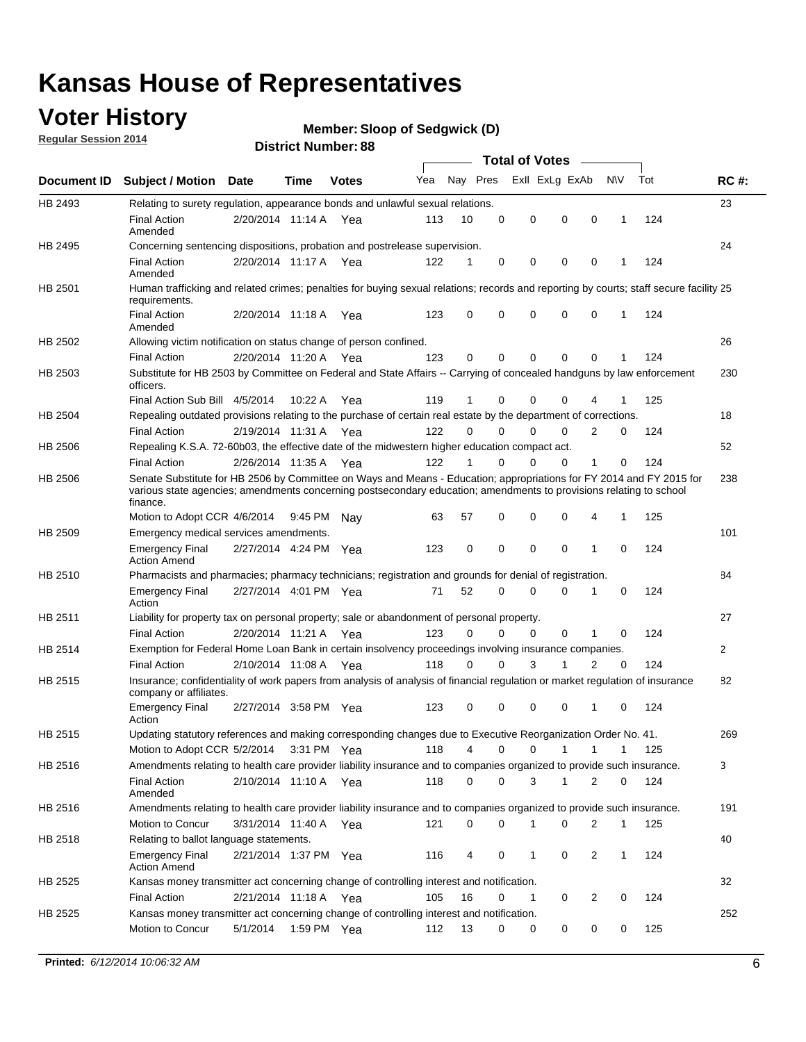## **Voter History**

**Regular Session 2014**

#### **Member: Sloop of Sedgwick (D)**

|                |                                                                                                                                                                                                                                                        |                       |             | DISTILICI NUITIDEL 00 |     |          |             |                                    |             |                            |     |              |
|----------------|--------------------------------------------------------------------------------------------------------------------------------------------------------------------------------------------------------------------------------------------------------|-----------------------|-------------|-----------------------|-----|----------|-------------|------------------------------------|-------------|----------------------------|-----|--------------|
|                | Document ID Subject / Motion Date                                                                                                                                                                                                                      |                       | Time        | <b>Votes</b>          | Yea |          | Nay Pres    | Total of Votes –<br>Exll ExLg ExAb |             | <b>NV</b>                  | Tot | <b>RC#:</b>  |
| HB 2493        | Relating to surety regulation, appearance bonds and unlawful sexual relations.                                                                                                                                                                         |                       |             |                       |     |          |             |                                    |             |                            |     | 23           |
|                | <b>Final Action</b><br>Amended                                                                                                                                                                                                                         | 2/20/2014 11:14 A Yea |             |                       | 113 | 10       | $\mathbf 0$ | $\mathbf 0$                        | $\mathbf 0$ | $\mathbf 0$<br>$\mathbf 1$ | 124 |              |
| HB 2495        | Concerning sentencing dispositions, probation and postrelease supervision.                                                                                                                                                                             |                       |             |                       |     |          |             |                                    |             |                            |     | 24           |
|                | <b>Final Action</b><br>Amended                                                                                                                                                                                                                         | 2/20/2014 11:17 A     |             | Yea                   | 122 | 1        | 0           | 0                                  | 0           | 0<br>-1                    | 124 |              |
| HB 2501        | Human trafficking and related crimes; penalties for buying sexual relations; records and reporting by courts; staff secure facility 25<br>requirements.                                                                                                |                       |             |                       |     |          |             |                                    |             |                            |     |              |
|                | <b>Final Action</b><br>Amended                                                                                                                                                                                                                         | 2/20/2014 11:18 A Yea |             |                       | 123 | 0        | 0           | $\Omega$                           | $\Omega$    | 0<br>$\mathbf 1$           | 124 |              |
| HB 2502        | Allowing victim notification on status change of person confined.                                                                                                                                                                                      |                       |             |                       |     |          |             |                                    |             |                            |     | 26           |
|                | <b>Final Action</b>                                                                                                                                                                                                                                    | 2/20/2014 11:20 A Yea |             |                       | 123 | 0        | 0           | $\mathbf 0$                        | 0           | 0<br>1                     | 124 |              |
| HB 2503        | Substitute for HB 2503 by Committee on Federal and State Affairs -- Carrying of concealed handguns by law enforcement<br>officers.                                                                                                                     |                       |             |                       |     |          |             |                                    |             |                            |     | 230          |
|                | Final Action Sub Bill 4/5/2014                                                                                                                                                                                                                         |                       | 10:22 A     | Yea                   | 119 | 1        | 0           | $\Omega$                           | 0           |                            | 125 |              |
| HB 2504        | Repealing outdated provisions relating to the purchase of certain real estate by the department of corrections.                                                                                                                                        |                       |             |                       |     |          |             |                                    |             |                            |     | 18           |
|                | <b>Final Action</b>                                                                                                                                                                                                                                    | 2/19/2014 11:31 A Yea |             |                       | 122 | $\Omega$ | 0           | $\Omega$                           | 0           | 2<br>0                     | 124 |              |
| <b>HB 2506</b> | Repealing K.S.A. 72-60b03, the effective date of the midwestern higher education compact act.                                                                                                                                                          |                       |             |                       |     |          |             |                                    |             |                            |     | 52           |
|                | <b>Final Action</b>                                                                                                                                                                                                                                    | 2/26/2014 11:35 A Yea |             |                       | 122 | 1        | $\mathbf 0$ | 0                                  | 0           | 1<br>0                     | 124 |              |
| <b>HB 2506</b> | Senate Substitute for HB 2506 by Committee on Ways and Means - Education; appropriations for FY 2014 and FY 2015 for<br>various state agencies; amendments concerning postsecondary education; amendments to provisions relating to school<br>finance. |                       |             |                       |     |          |             |                                    |             |                            |     | 238          |
|                | Motion to Adopt CCR 4/6/2014                                                                                                                                                                                                                           |                       | 9:45 PM     | Nav                   | 63  | 57       | $\mathbf 0$ | $\mathbf 0$                        | $\Omega$    | $\mathbf{1}$<br>4          | 125 |              |
| HB 2509        | Emergency medical services amendments.                                                                                                                                                                                                                 |                       |             |                       |     |          |             |                                    |             |                            |     | 101          |
|                | <b>Emergency Final</b><br><b>Action Amend</b>                                                                                                                                                                                                          | 2/27/2014 4:24 PM Yea |             |                       | 123 | 0        | $\Omega$    | $\Omega$                           | $\Omega$    | $\Omega$<br>1              | 124 |              |
| HB 2510        | Pharmacists and pharmacies; pharmacy technicians; registration and grounds for denial of registration.                                                                                                                                                 |                       |             |                       |     |          |             |                                    |             |                            |     | 84           |
|                | <b>Emergency Final</b><br>Action                                                                                                                                                                                                                       | 2/27/2014 4:01 PM Yea |             |                       | 71  | 52       | 0           | 0                                  | $\Omega$    | 0<br>1                     | 124 |              |
| HB 2511        | Liability for property tax on personal property; sale or abandonment of personal property.                                                                                                                                                             |                       |             |                       |     |          |             |                                    |             |                            |     | 27           |
|                | <b>Final Action</b>                                                                                                                                                                                                                                    | 2/20/2014 11:21 A Yea |             |                       | 123 | 0        | 0           | 0                                  | 0           | 1<br>0                     | 124 |              |
| HB 2514        | Exemption for Federal Home Loan Bank in certain insolvency proceedings involving insurance companies.                                                                                                                                                  |                       |             |                       |     |          |             |                                    |             |                            |     | $\mathbf{2}$ |
|                | <b>Final Action</b>                                                                                                                                                                                                                                    | 2/10/2014 11:08 A Yea |             |                       | 118 | $\Omega$ | 0           | 3<br>1                             |             | 2<br>0                     | 124 |              |
| HB 2515        | Insurance; confidentiality of work papers from analysis of analysis of financial regulation or market regulation of insurance<br>company or affiliates.                                                                                                |                       |             |                       |     |          |             |                                    |             |                            |     | 82           |
|                | <b>Emergency Final</b><br>Action                                                                                                                                                                                                                       | 2/27/2014 3:58 PM Yea |             |                       | 123 | 0        | $\Omega$    | $\Omega$                           | 0           | $\Omega$<br>-1             | 124 |              |
| HB 2515        | Updating statutory references and making corresponding changes due to Executive Reorganization Order No. 41.                                                                                                                                           |                       |             |                       |     |          |             |                                    |             |                            |     | 269          |
|                | Motion to Adopt CCR 5/2/2014 3:31 PM Yea                                                                                                                                                                                                               |                       |             |                       | 118 | 4        | 0           | 0                                  | 1           | 1<br>1                     | 125 |              |
| HB 2516        | Amendments relating to health care provider liability insurance and to companies organized to provide such insurance.                                                                                                                                  |                       |             |                       |     |          |             |                                    |             |                            |     | 3            |
|                | <b>Final Action</b><br>Amended                                                                                                                                                                                                                         | 2/10/2014 11:10 A Yea |             |                       | 118 | 0        | 0           | 3                                  | 1           | 2<br>0                     | 124 |              |
| HB 2516        | Amendments relating to health care provider liability insurance and to companies organized to provide such insurance.                                                                                                                                  |                       |             |                       |     |          |             |                                    |             |                            |     | 191          |
|                | Motion to Concur                                                                                                                                                                                                                                       | 3/31/2014 11:40 A Yea |             |                       | 121 | 0        | 0           | 1                                  | 0           | 2<br>$\mathbf{1}$          | 125 |              |
| HB 2518        | Relating to ballot language statements.                                                                                                                                                                                                                |                       |             |                       |     |          |             |                                    |             |                            |     | 40           |
|                | <b>Emergency Final</b><br><b>Action Amend</b>                                                                                                                                                                                                          | 2/21/2014 1:37 PM Yea |             |                       | 116 | 4        | 0           | 1                                  | 0           | 2<br>1                     | 124 |              |
| <b>HB 2525</b> | Kansas money transmitter act concerning change of controlling interest and notification.                                                                                                                                                               |                       |             |                       |     |          |             |                                    |             |                            |     | 32           |
|                | <b>Final Action</b>                                                                                                                                                                                                                                    | 2/21/2014 11:18 A     |             | Yea                   | 105 | 16       | 0           | 1                                  | 0           | 2<br>0                     | 124 |              |
| HB 2525        | Kansas money transmitter act concerning change of controlling interest and notification.                                                                                                                                                               |                       |             |                       |     |          |             |                                    |             |                            |     | 252          |
|                | Motion to Concur                                                                                                                                                                                                                                       | 5/1/2014              | 1:59 PM Yea |                       | 112 | 13       | 0           | 0                                  | 0           | 0<br>0                     | 125 |              |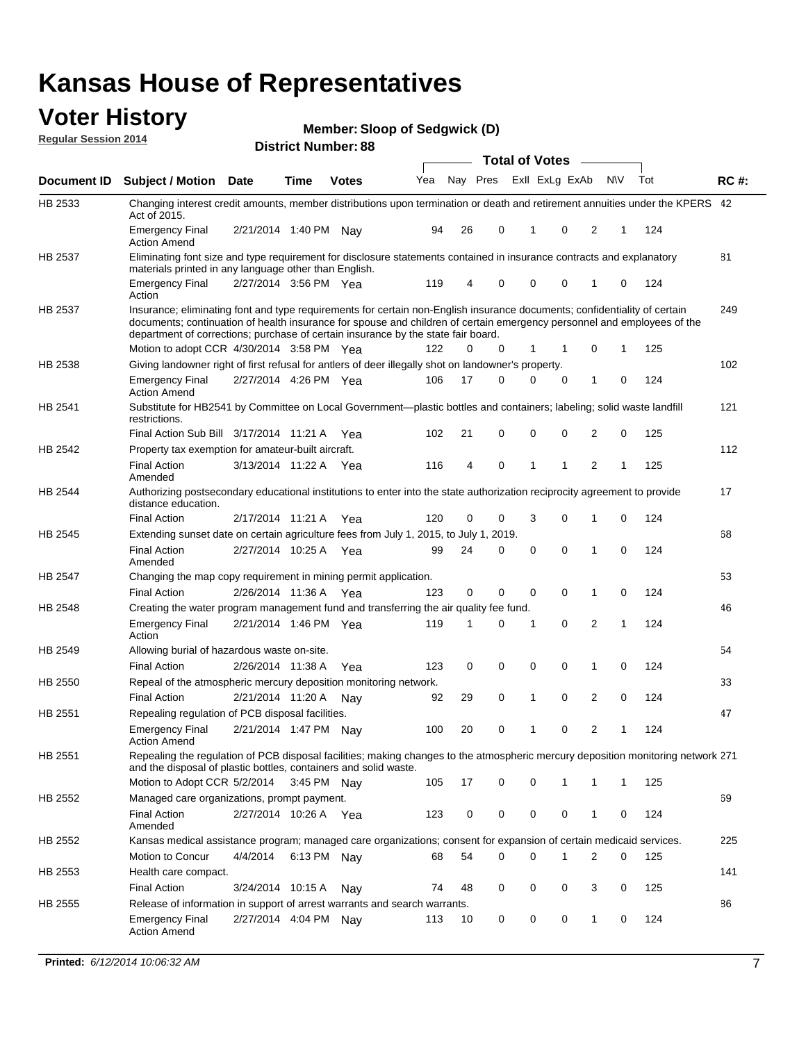#### **Voter History Regular Session 2014**

**Member: Sloop of Sedgwick (D)** 

|         |                                                                                                                                                                                                                                                                                                                                           |                       |             | DISTILL NUITIDEL 00 |     |    |             | <b>Total of Votes</b> |             | $\sim$         |                |     |     |             |
|---------|-------------------------------------------------------------------------------------------------------------------------------------------------------------------------------------------------------------------------------------------------------------------------------------------------------------------------------------------|-----------------------|-------------|---------------------|-----|----|-------------|-----------------------|-------------|----------------|----------------|-----|-----|-------------|
|         | Document ID Subject / Motion                                                                                                                                                                                                                                                                                                              | <b>Date</b>           | Time        | <b>Votes</b>        | Yea |    | Nay Pres    |                       |             | Exll ExLg ExAb |                | N\V | Tot | <b>RC#:</b> |
| HB 2533 | Changing interest credit amounts, member distributions upon termination or death and retirement annuities under the KPERS 42<br>Act of 2015.                                                                                                                                                                                              |                       |             |                     |     |    |             |                       |             |                |                |     |     |             |
|         | <b>Emergency Final</b><br><b>Action Amend</b>                                                                                                                                                                                                                                                                                             | 2/21/2014 1:40 PM     |             | Nav                 | 94  | 26 | 0           |                       | 1           | 0              | 2              | 1   | 124 |             |
| HB 2537 | Eliminating font size and type requirement for disclosure statements contained in insurance contracts and explanatory<br>materials printed in any language other than English.                                                                                                                                                            |                       |             |                     |     |    |             |                       |             |                |                |     |     | 81          |
|         | <b>Emergency Final</b><br>Action                                                                                                                                                                                                                                                                                                          | 2/27/2014 3:56 PM Yea |             |                     | 119 | 4  | 0           |                       | $\mathbf 0$ | 0              | 1              | 0   | 124 |             |
| HB 2537 | Insurance; eliminating font and type requirements for certain non-English insurance documents; confidentiality of certain<br>documents; continuation of health insurance for spouse and children of certain emergency personnel and employees of the<br>department of corrections; purchase of certain insurance by the state fair board. |                       |             |                     |     |    |             |                       |             |                |                |     |     | 249         |
|         | Motion to adopt CCR 4/30/2014 3:58 PM Yea                                                                                                                                                                                                                                                                                                 |                       |             |                     | 122 | 0  | 0           |                       | 1           | 1              | 0              | 1   | 125 |             |
| HB 2538 | Giving landowner right of first refusal for antlers of deer illegally shot on landowner's property.                                                                                                                                                                                                                                       |                       |             |                     |     |    |             |                       |             |                |                |     |     | 102         |
|         | <b>Emergency Final</b><br><b>Action Amend</b>                                                                                                                                                                                                                                                                                             | 2/27/2014 4:26 PM Yea |             |                     | 106 | 17 | 0           |                       | $\mathbf 0$ | 0              | 1              | 0   | 124 |             |
| HB 2541 | Substitute for HB2541 by Committee on Local Government—plastic bottles and containers; labeling; solid waste landfill<br>restrictions.                                                                                                                                                                                                    |                       |             |                     |     |    |             |                       |             |                |                |     |     | 121         |
|         | Final Action Sub Bill 3/17/2014 11:21 A Yea                                                                                                                                                                                                                                                                                               |                       |             |                     | 102 | 21 | 0           |                       | $\mathbf 0$ | 0              | $\overline{2}$ | 0   | 125 |             |
| HB 2542 | Property tax exemption for amateur-built aircraft.                                                                                                                                                                                                                                                                                        |                       |             |                     |     |    |             |                       |             |                |                |     |     | 112         |
|         | <b>Final Action</b><br>Amended                                                                                                                                                                                                                                                                                                            | 3/13/2014 11:22 A Yea |             |                     | 116 | 4  | $\mathbf 0$ |                       | $\mathbf 1$ | 1              | $\overline{2}$ | 1   | 125 |             |
| HB 2544 | Authorizing postsecondary educational institutions to enter into the state authorization reciprocity agreement to provide<br>distance education.                                                                                                                                                                                          |                       |             |                     |     |    |             |                       |             |                |                |     |     | 17          |
|         | <b>Final Action</b>                                                                                                                                                                                                                                                                                                                       | 2/17/2014 11:21 A Yea |             |                     | 120 | 0  | 0           |                       | 3           | 0              | 1              | 0   | 124 |             |
| HB 2545 | Extending sunset date on certain agriculture fees from July 1, 2015, to July 1, 2019.                                                                                                                                                                                                                                                     |                       |             |                     |     |    |             |                       |             |                |                |     |     | 68          |
|         | <b>Final Action</b><br>Amended                                                                                                                                                                                                                                                                                                            | 2/27/2014 10:25 A Yea |             |                     | 99  | 24 | 0           |                       | $\mathbf 0$ | $\Omega$       | 1              | 0   | 124 |             |
| HB 2547 | Changing the map copy requirement in mining permit application.                                                                                                                                                                                                                                                                           |                       |             |                     |     |    |             |                       |             |                |                |     |     | 53          |
|         | <b>Final Action</b>                                                                                                                                                                                                                                                                                                                       | 2/26/2014 11:36 A Yea |             |                     | 123 | 0  | 0           |                       | $\mathbf 0$ | 0              | 1              | 0   | 124 |             |
| HB 2548 | Creating the water program management fund and transferring the air quality fee fund.                                                                                                                                                                                                                                                     |                       |             |                     |     |    |             |                       |             |                |                |     |     | 46          |
|         | <b>Emergency Final</b><br>Action                                                                                                                                                                                                                                                                                                          | 2/21/2014 1:46 PM Yea |             |                     | 119 | 1  | 0           |                       | 1           | $\mathbf 0$    | 2              | 1   | 124 |             |
| HB 2549 | Allowing burial of hazardous waste on-site.                                                                                                                                                                                                                                                                                               |                       |             |                     |     |    |             |                       |             |                |                |     |     | 54          |
|         | <b>Final Action</b>                                                                                                                                                                                                                                                                                                                       | 2/26/2014 11:38 A     |             | Yea                 | 123 | 0  | 0           |                       | $\mathbf 0$ | 0              | 1              | 0   | 124 |             |
| HB 2550 | Repeal of the atmospheric mercury deposition monitoring network.                                                                                                                                                                                                                                                                          |                       |             |                     |     |    |             |                       |             |                |                |     |     | 33          |
|         | <b>Final Action</b>                                                                                                                                                                                                                                                                                                                       | 2/21/2014 11:20 A     |             | Nav                 | 92  | 29 | 0           |                       | 1           | 0              | 2              | 0   | 124 |             |
| HB 2551 | Repealing regulation of PCB disposal facilities.                                                                                                                                                                                                                                                                                          |                       |             |                     |     |    |             |                       |             |                |                |     |     | 47          |
|         | <b>Emergency Final</b><br><b>Action Amend</b>                                                                                                                                                                                                                                                                                             | 2/21/2014 1:47 PM Nay |             |                     | 100 | 20 | 0           |                       | 1           | 0              | 2              | 1   | 124 |             |
| HB 2551 | Repealing the regulation of PCB disposal facilities; making changes to the atmospheric mercury deposition monitoring network 271<br>and the disposal of plastic bottles, containers and solid waste.                                                                                                                                      |                       |             |                     |     |    |             |                       |             |                |                |     |     |             |
|         | Motion to Adopt CCR 5/2/2014 3:45 PM Nay                                                                                                                                                                                                                                                                                                  |                       |             |                     | 105 | 17 | 0           |                       | 0           | 1              | 1              | 1   | 125 |             |
| HB 2552 | Managed care organizations, prompt payment.                                                                                                                                                                                                                                                                                               |                       |             |                     |     |    |             |                       |             |                |                |     |     | 69          |
|         | <b>Final Action</b><br>Amended                                                                                                                                                                                                                                                                                                            | 2/27/2014 10:26 A Yea |             |                     | 123 | 0  | 0           |                       | 0           | 0              | 1              | 0   | 124 |             |
| HB 2552 | Kansas medical assistance program; managed care organizations; consent for expansion of certain medicaid services.                                                                                                                                                                                                                        |                       |             |                     |     |    |             |                       |             |                |                |     |     | 225         |
|         | Motion to Concur                                                                                                                                                                                                                                                                                                                          | 4/4/2014              | 6:13 PM Nay |                     | 68  | 54 | 0           |                       | $\Omega$    | 1              | 2              | 0   | 125 |             |
| HB 2553 | Health care compact.                                                                                                                                                                                                                                                                                                                      |                       |             |                     |     |    |             |                       |             |                |                |     |     | 141         |
|         | <b>Final Action</b>                                                                                                                                                                                                                                                                                                                       | 3/24/2014 10:15 A     |             | Nay                 | 74  | 48 | 0           |                       | $\mathbf 0$ | 0              | 3              | 0   | 125 |             |
| HB 2555 | Release of information in support of arrest warrants and search warrants.                                                                                                                                                                                                                                                                 |                       |             |                     |     |    |             |                       |             |                |                |     |     | 86          |
|         | <b>Emergency Final</b><br><b>Action Amend</b>                                                                                                                                                                                                                                                                                             | 2/27/2014 4:04 PM Nav |             |                     | 113 | 10 | 0           |                       | 0           | 0              | 1              | 0   | 124 |             |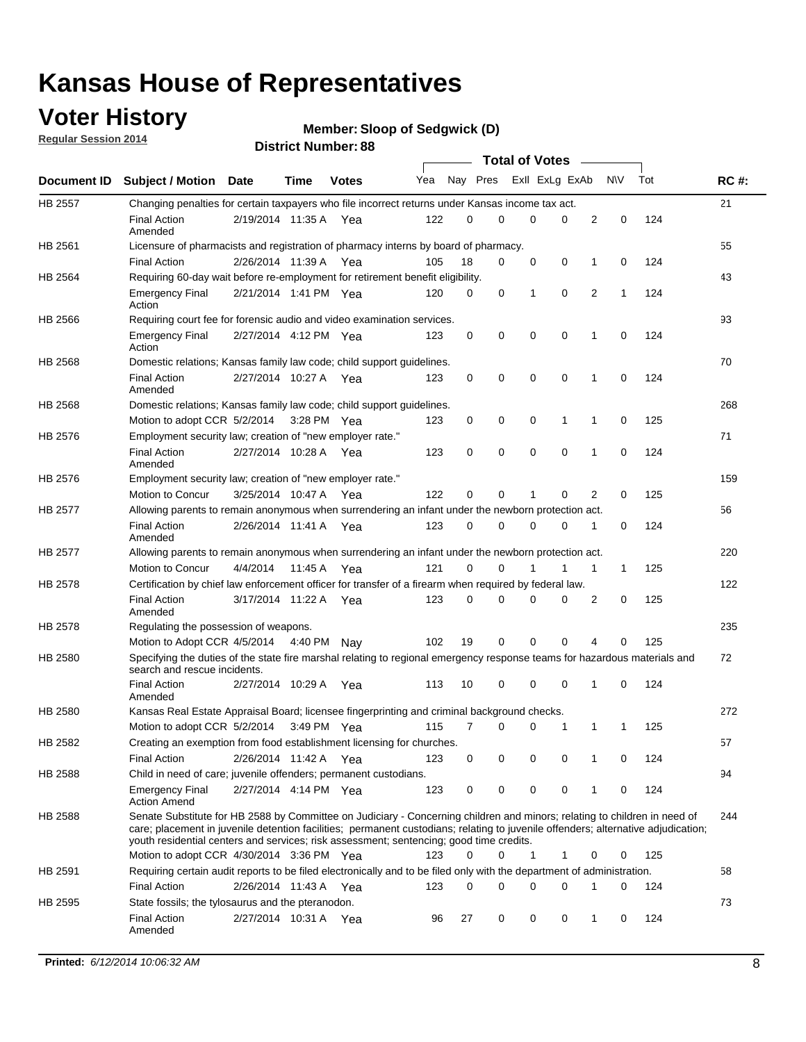## **Voter History**

**Regular Session 2014**

```
Member: Sloop of Sedgwick (D)
```

|                |                                                                                                                                                                                                                                                                                                                                                           |                       |         | DISTRICT MAILING 1.00 |     |          |             |              | <b>Total of Votes</b> |                |     |     |             |
|----------------|-----------------------------------------------------------------------------------------------------------------------------------------------------------------------------------------------------------------------------------------------------------------------------------------------------------------------------------------------------------|-----------------------|---------|-----------------------|-----|----------|-------------|--------------|-----------------------|----------------|-----|-----|-------------|
|                | Document ID Subject / Motion Date                                                                                                                                                                                                                                                                                                                         |                       | Time    | <b>Votes</b>          | Yea |          | Nay Pres    |              | Exll ExLg ExAb        |                | N\V | Tot | <b>RC#:</b> |
| <b>HB 2557</b> | Changing penalties for certain taxpayers who file incorrect returns under Kansas income tax act.                                                                                                                                                                                                                                                          |                       |         |                       |     |          |             |              |                       |                |     |     | 21          |
|                | <b>Final Action</b><br>Amended                                                                                                                                                                                                                                                                                                                            | 2/19/2014 11:35 A Yea |         |                       | 122 | 0        | 0           | 0            | $\Omega$              | 2              | 0   | 124 |             |
| HB 2561        | Licensure of pharmacists and registration of pharmacy interns by board of pharmacy.                                                                                                                                                                                                                                                                       |                       |         |                       |     |          |             |              |                       |                |     |     | 55          |
|                | <b>Final Action</b>                                                                                                                                                                                                                                                                                                                                       | 2/26/2014 11:39 A     |         | Yea                   | 105 | 18       | 0           | 0            | 0                     | 1              | 0   | 124 |             |
| HB 2564        | Requiring 60-day wait before re-employment for retirement benefit eligibility.                                                                                                                                                                                                                                                                            |                       |         |                       |     |          |             |              |                       |                |     |     | 43          |
|                | <b>Emergency Final</b><br>Action                                                                                                                                                                                                                                                                                                                          | 2/21/2014 1:41 PM Yea |         |                       | 120 | 0        | $\mathbf 0$ | $\mathbf{1}$ | $\mathbf 0$           | $\overline{2}$ | 1   | 124 |             |
| HB 2566        | Requiring court fee for forensic audio and video examination services.                                                                                                                                                                                                                                                                                    |                       |         |                       |     |          |             |              |                       |                |     |     | 93          |
|                | <b>Emergency Final</b><br>Action                                                                                                                                                                                                                                                                                                                          | 2/27/2014 4:12 PM Yea |         |                       | 123 | 0        | 0           | 0            | 0                     | $\mathbf 1$    | 0   | 124 |             |
| HB 2568        | Domestic relations; Kansas family law code; child support guidelines.                                                                                                                                                                                                                                                                                     |                       |         |                       |     |          |             |              |                       |                |     |     | 70          |
|                | <b>Final Action</b><br>Amended                                                                                                                                                                                                                                                                                                                            | 2/27/2014 10:27 A Yea |         |                       | 123 | 0        | 0           | 0            | $\mathbf 0$           | 1              | 0   | 124 |             |
| HB 2568        | Domestic relations; Kansas family law code; child support guidelines.                                                                                                                                                                                                                                                                                     |                       |         |                       |     |          |             |              |                       |                |     |     | 268         |
|                | Motion to adopt CCR 5/2/2014                                                                                                                                                                                                                                                                                                                              |                       |         | 3:28 PM Yea           | 123 | 0        | 0           | 0            | 1                     | 1              | 0   | 125 |             |
| HB 2576        | Employment security law; creation of "new employer rate."                                                                                                                                                                                                                                                                                                 |                       |         |                       |     |          |             |              |                       |                |     |     | 71          |
|                | <b>Final Action</b><br>Amended                                                                                                                                                                                                                                                                                                                            | 2/27/2014 10:28 A Yea |         |                       | 123 | 0        | $\mathbf 0$ | $\mathbf 0$  | $\mathbf 0$           | 1              | 0   | 124 |             |
| HB 2576        | Employment security law; creation of "new employer rate."                                                                                                                                                                                                                                                                                                 |                       |         |                       |     |          |             |              |                       |                |     |     | 159         |
|                | Motion to Concur                                                                                                                                                                                                                                                                                                                                          | 3/25/2014 10:47 A     |         | Yea                   | 122 | $\Omega$ | 0           | 1            | 0                     | 2              | 0   | 125 |             |
| <b>HB 2577</b> | Allowing parents to remain anonymous when surrendering an infant under the newborn protection act.                                                                                                                                                                                                                                                        |                       |         |                       |     |          |             |              |                       |                |     |     | 56          |
|                | <b>Final Action</b><br>Amended                                                                                                                                                                                                                                                                                                                            | 2/26/2014 11:41 A     |         | Yea                   | 123 | 0        | 0           | 0            | 0                     | 1              | 0   | 124 |             |
| HB 2577        | Allowing parents to remain anonymous when surrendering an infant under the newborn protection act.                                                                                                                                                                                                                                                        |                       |         |                       |     |          |             |              |                       |                |     |     | 220         |
|                | <b>Motion to Concur</b>                                                                                                                                                                                                                                                                                                                                   | 4/4/2014              | 11:45 A | Yea                   | 121 | $\Omega$ | 0           | 1            | 1                     | 1              | 1   | 125 |             |
| HB 2578        | Certification by chief law enforcement officer for transfer of a firearm when required by federal law.                                                                                                                                                                                                                                                    |                       |         |                       |     |          |             |              |                       |                |     |     | 122         |
|                | <b>Final Action</b><br>Amended                                                                                                                                                                                                                                                                                                                            | 3/17/2014 11:22 A Yea |         |                       | 123 | $\Omega$ | 0           | 0            | 0                     | 2              | 0   | 125 |             |
| HB 2578        | Regulating the possession of weapons.                                                                                                                                                                                                                                                                                                                     |                       |         |                       |     |          |             |              |                       |                |     |     | 235         |
|                | Motion to Adopt CCR 4/5/2014 4:40 PM                                                                                                                                                                                                                                                                                                                      |                       |         | Nav                   | 102 | 19       | $\mathbf 0$ | $\mathbf 0$  | 0                     | 4              | 0   | 125 |             |
| HB 2580        | Specifying the duties of the state fire marshal relating to regional emergency response teams for hazardous materials and<br>search and rescue incidents.                                                                                                                                                                                                 |                       |         |                       |     |          |             |              |                       |                |     |     | 72          |
|                | <b>Final Action</b><br>Amended                                                                                                                                                                                                                                                                                                                            | 2/27/2014 10:29 A     |         | Yea                   | 113 | 10       | 0           | $\mathbf 0$  | $\mathbf 0$           | 1              | 0   | 124 |             |
| HB 2580        | Kansas Real Estate Appraisal Board; licensee fingerprinting and criminal background checks.                                                                                                                                                                                                                                                               |                       |         |                       |     |          |             |              |                       |                |     |     | 272         |
|                | Motion to adopt CCR 5/2/2014                                                                                                                                                                                                                                                                                                                              |                       |         | 3:49 PM Yea           | 115 | 7        | 0           |              | 0<br>1                | 1              | 1   | 125 |             |
| HB 2582        | Creating an exemption from food establishment licensing for churches.                                                                                                                                                                                                                                                                                     |                       |         |                       |     |          |             |              |                       |                |     |     | 57          |
|                | <b>Final Action</b>                                                                                                                                                                                                                                                                                                                                       | 2/26/2014 11:42 A     |         | Yea                   | 123 | 0        | 0           |              | 0<br>0                | 1              | 0   | 124 |             |
| HB 2588        | Child in need of care; juvenile offenders; permanent custodians.                                                                                                                                                                                                                                                                                          |                       |         |                       |     |          |             |              |                       |                |     |     | 94          |
|                | <b>Emergency Final</b><br><b>Action Amend</b>                                                                                                                                                                                                                                                                                                             | 2/27/2014 4:14 PM Yea |         |                       | 123 | 0        | 0           | 0            | 0                     | 1              | 0   | 124 |             |
| HB 2588        | Senate Substitute for HB 2588 by Committee on Judiciary - Concerning children and minors; relating to children in need of<br>care; placement in juvenile detention facilities; permanent custodians; relating to juvenile offenders; alternative adjudication;<br>youth residential centers and services; risk assessment; sentencing; good time credits. |                       |         |                       |     |          |             |              |                       |                |     |     | 244         |
|                | Motion to adopt CCR 4/30/2014 3:36 PM Yea                                                                                                                                                                                                                                                                                                                 |                       |         |                       | 123 | 0        | 0           | $\mathbf{1}$ | 1                     | 0              | 0   | 125 |             |
| HB 2591        | Requiring certain audit reports to be filed electronically and to be filed only with the department of administration.                                                                                                                                                                                                                                    |                       |         |                       |     |          |             |              |                       |                |     |     | 58          |
|                | <b>Final Action</b>                                                                                                                                                                                                                                                                                                                                       | 2/26/2014 11:43 A Yea |         |                       | 123 | 0        | 0           |              | 0<br>0                | 1              | 0   | 124 |             |
| HB 2595        | State fossils; the tylosaurus and the pteranodon.                                                                                                                                                                                                                                                                                                         |                       |         |                       |     |          |             |              |                       |                |     |     | 73          |
|                | <b>Final Action</b><br>Amended                                                                                                                                                                                                                                                                                                                            | 2/27/2014 10:31 A Yea |         |                       | 96  | 27       | 0           | 0            | 0                     | 1              | 0   | 124 |             |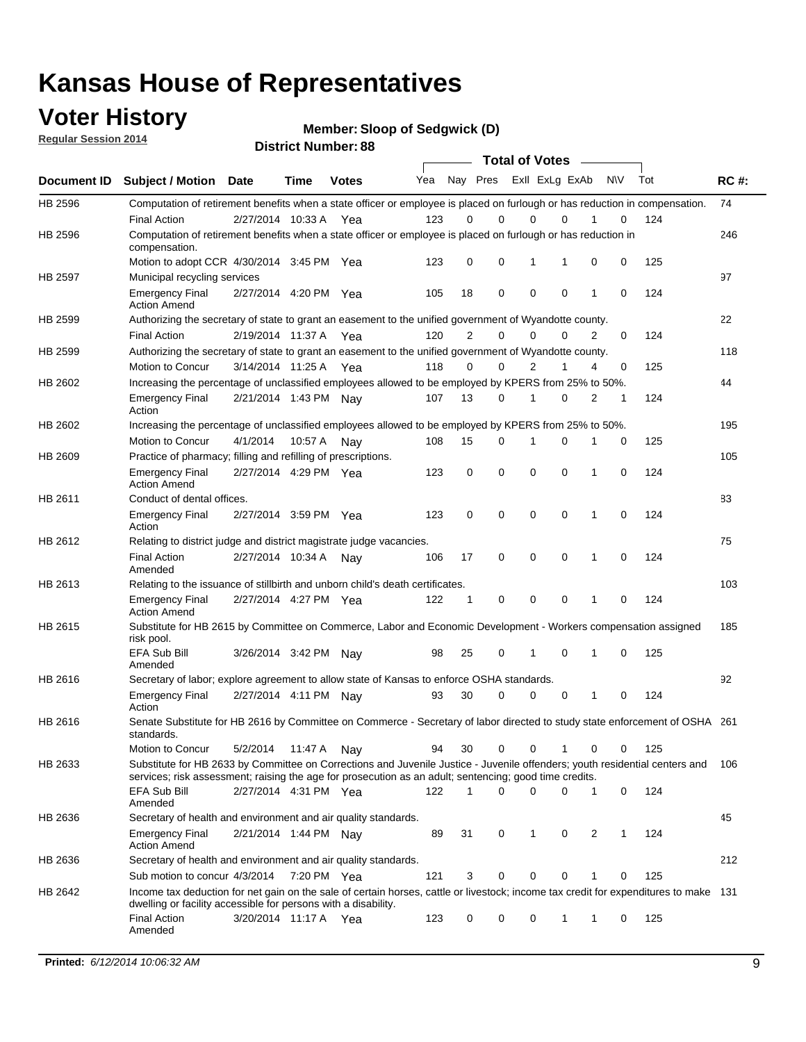### **Voter History**

**Regular Session 2014**

**Member: Sloop of Sedgwick (D)** 

| <b>District Number: 88</b> |  |
|----------------------------|--|
|                            |  |

|         |                                                                                                                                                                                                                                       |                         |             |              |     |                | <b>Total of Votes</b>   |             |             |              |           |     |             |  |
|---------|---------------------------------------------------------------------------------------------------------------------------------------------------------------------------------------------------------------------------------------|-------------------------|-------------|--------------|-----|----------------|-------------------------|-------------|-------------|--------------|-----------|-----|-------------|--|
|         | Document ID Subject / Motion Date                                                                                                                                                                                                     |                         | <b>Time</b> | <b>Votes</b> | Yea |                | Nay Pres ExII ExLg ExAb |             |             |              | <b>NV</b> | Tot | <b>RC#:</b> |  |
| HB 2596 | Computation of retirement benefits when a state officer or employee is placed on furlough or has reduction in compensation.                                                                                                           |                         |             |              |     |                |                         |             |             |              |           |     | 74          |  |
|         | <b>Final Action</b>                                                                                                                                                                                                                   | 2/27/2014 10:33 A       |             | Yea          | 123 | 0              | 0                       | $\mathbf 0$ | $\Omega$    |              | 0         | 124 |             |  |
| HB 2596 | Computation of retirement benefits when a state officer or employee is placed on furlough or has reduction in<br>compensation.                                                                                                        |                         |             |              |     |                |                         |             |             |              |           |     | 246         |  |
|         | Motion to adopt CCR 4/30/2014 3:45 PM Yea                                                                                                                                                                                             |                         |             |              | 123 | 0              | 0                       | 1           | 1           | 0            | 0         | 125 |             |  |
| HB 2597 | Municipal recycling services                                                                                                                                                                                                          |                         |             |              |     |                |                         |             |             |              |           |     | 97          |  |
|         | <b>Emergency Final</b><br><b>Action Amend</b>                                                                                                                                                                                         | 2/27/2014 4:20 PM Yea   |             |              | 105 | 18             | 0                       | $\mathbf 0$ | 0           | 1            | 0         | 124 |             |  |
| HB 2599 | Authorizing the secretary of state to grant an easement to the unified government of Wyandotte county.                                                                                                                                |                         |             |              |     |                |                         |             |             |              |           |     | 22          |  |
|         | <b>Final Action</b>                                                                                                                                                                                                                   | 2/19/2014 11:37 A       |             | Yea          | 120 | $\overline{2}$ | 0                       | 0           | $\Omega$    | 2            | $\Omega$  | 124 |             |  |
| HB 2599 | Authorizing the secretary of state to grant an easement to the unified government of Wyandotte county.                                                                                                                                |                         |             |              |     |                |                         |             |             |              |           |     | 118         |  |
|         | Motion to Concur                                                                                                                                                                                                                      | 3/14/2014 11:25 A Yea   |             |              | 118 | 0              | 0                       | 2           | 1           | 4            | 0         | 125 |             |  |
| HB 2602 | Increasing the percentage of unclassified employees allowed to be employed by KPERS from 25% to 50%.                                                                                                                                  |                         |             |              |     |                |                         |             |             |              |           |     | 44          |  |
|         | <b>Emergency Final</b><br>Action                                                                                                                                                                                                      | 2/21/2014 1:43 PM Nay   |             |              | 107 | 13             | 0                       | 1           | 0           | 2            | 1         | 124 |             |  |
| HB 2602 | Increasing the percentage of unclassified employees allowed to be employed by KPERS from 25% to 50%.                                                                                                                                  |                         |             |              |     |                |                         |             |             |              |           |     | 195         |  |
|         | <b>Motion to Concur</b>                                                                                                                                                                                                               | 4/1/2014                | 10:57 A     | Nav          | 108 | 15             | 0                       | 1           | $\mathbf 0$ | 1            | 0         | 125 |             |  |
| HB 2609 | Practice of pharmacy; filling and refilling of prescriptions.                                                                                                                                                                         |                         |             |              |     |                |                         |             |             |              |           |     | 105         |  |
|         | <b>Emergency Final</b><br><b>Action Amend</b>                                                                                                                                                                                         | 2/27/2014 4:29 PM Yea   |             |              | 123 | 0              | $\mathbf 0$             | $\mathbf 0$ | $\mathbf 0$ | 1            | 0         | 124 |             |  |
| HB 2611 | Conduct of dental offices.                                                                                                                                                                                                            |                         |             |              |     |                |                         |             |             |              |           |     | 83          |  |
|         | <b>Emergency Final</b><br>Action                                                                                                                                                                                                      | 2/27/2014 3:59 PM Yea   |             |              | 123 | 0              | $\mathbf 0$             | $\mathbf 0$ | 0           | 1            | 0         | 124 |             |  |
| HB 2612 | Relating to district judge and district magistrate judge vacancies.                                                                                                                                                                   |                         |             |              |     |                |                         |             |             |              |           |     | 75          |  |
|         | <b>Final Action</b><br>Amended                                                                                                                                                                                                        | 2/27/2014 10:34 A       |             | Nav          | 106 | 17             | $\mathbf 0$             | $\mathbf 0$ | $\mathbf 0$ | 1            | 0         | 124 |             |  |
| HB 2613 | Relating to the issuance of stillbirth and unborn child's death certificates.                                                                                                                                                         |                         |             |              |     |                |                         |             |             |              |           |     | 103         |  |
|         | <b>Emergency Final</b><br><b>Action Amend</b>                                                                                                                                                                                         | 2/27/2014 4:27 PM Yea   |             |              | 122 | $\mathbf{1}$   | $\mathbf 0$             | $\mathbf 0$ | $\Omega$    | $\mathbf{1}$ | $\Omega$  | 124 |             |  |
| HB 2615 | Substitute for HB 2615 by Committee on Commerce, Labor and Economic Development - Workers compensation assigned<br>risk pool.                                                                                                         |                         |             |              |     |                |                         |             |             |              |           |     | 185         |  |
|         | EFA Sub Bill<br>Amended                                                                                                                                                                                                               | 3/26/2014 3:42 PM Nay   |             |              | 98  | 25             | 0                       | 1           | $\mathbf 0$ | 1            | 0         | 125 |             |  |
| HB 2616 | Secretary of labor; explore agreement to allow state of Kansas to enforce OSHA standards.                                                                                                                                             |                         |             |              |     |                |                         |             |             |              |           |     | 92          |  |
|         | <b>Emergency Final</b><br>Action                                                                                                                                                                                                      | 2/27/2014 4:11 PM Nay   |             |              | 93  | 30             | $\Omega$                | $\mathbf 0$ | 0           | 1            | 0         | 124 |             |  |
| HB 2616 | Senate Substitute for HB 2616 by Committee on Commerce - Secretary of labor directed to study state enforcement of OSHA 261<br>standards.                                                                                             |                         |             |              |     |                |                         |             |             |              |           |     |             |  |
|         | Motion to Concur                                                                                                                                                                                                                      | 5/2/2014  11:47 A   Nay |             |              | 94  | 30             | 0                       | 0           | 1           | 0            | 0         | 125 |             |  |
| HB 2633 | Substitute for HB 2633 by Committee on Corrections and Juvenile Justice - Juvenile offenders; youth residential centers and<br>services; risk assessment; raising the age for prosecution as an adult; sentencing; good time credits. |                         |             |              |     |                |                         |             |             |              |           |     | 106         |  |
|         | EFA Sub Bill<br>Amended                                                                                                                                                                                                               | 2/27/2014 4:31 PM Yea   |             |              | 122 | 1              | $\Omega$                | $\Omega$    | 0           | 1            | 0         | 124 |             |  |
| HB 2636 | Secretary of health and environment and air quality standards.                                                                                                                                                                        |                         |             |              |     |                |                         |             |             |              |           |     | 45          |  |
|         | <b>Emergency Final</b><br><b>Action Amend</b>                                                                                                                                                                                         | 2/21/2014 1:44 PM Nav   |             |              | 89  | 31             | 0                       | 1           | 0           | 2            | 1         | 124 |             |  |
| HB 2636 | Secretary of health and environment and air quality standards.                                                                                                                                                                        |                         |             |              |     |                |                         |             |             |              |           |     | 212         |  |
|         | Sub motion to concur 4/3/2014 7:20 PM Yea                                                                                                                                                                                             |                         |             |              | 121 | 3              | 0                       | 0           | 0           |              | 0         | 125 |             |  |
| HB 2642 | Income tax deduction for net gain on the sale of certain horses, cattle or livestock; income tax credit for expenditures to make 131                                                                                                  |                         |             |              |     |                |                         |             |             |              |           |     |             |  |
|         | dwelling or facility accessible for persons with a disability.<br><b>Final Action</b>                                                                                                                                                 | 3/20/2014 11:17 A Yea   |             |              | 123 | 0              | 0                       | 0           | 1           | 1            | 0         | 125 |             |  |
|         | Amended                                                                                                                                                                                                                               |                         |             |              |     |                |                         |             |             |              |           |     |             |  |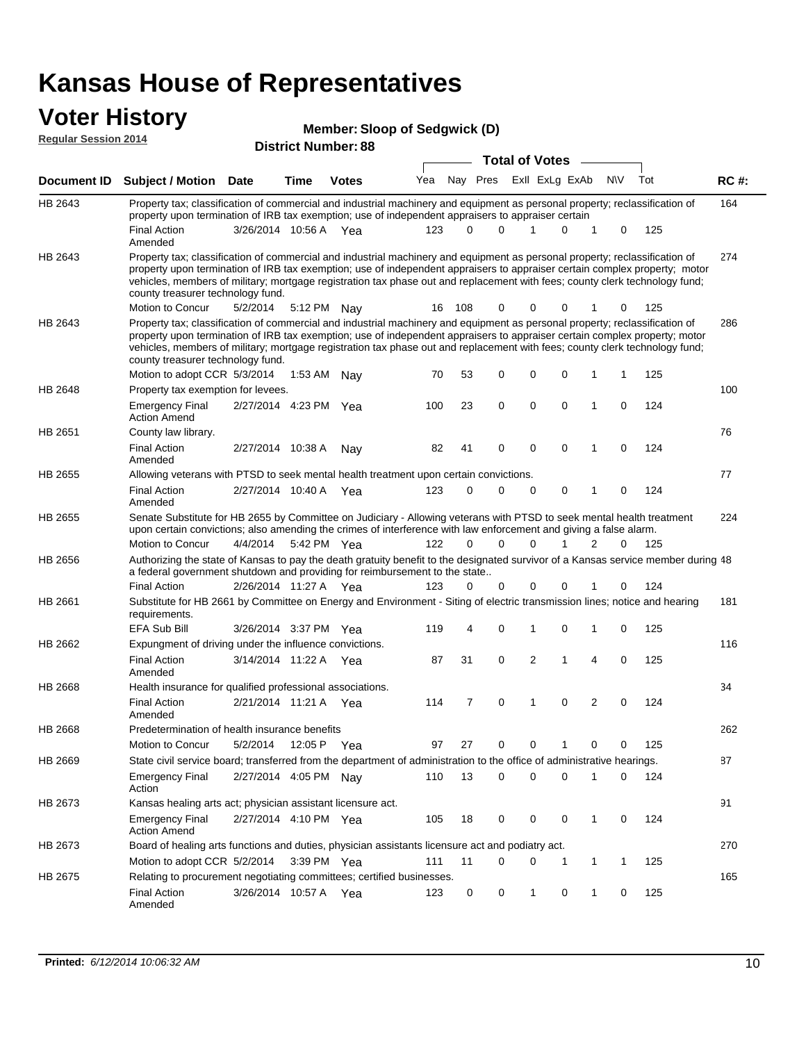# **Voter History Member: Regular Session 2014**

| <b>Member: Sloop of Sedgwick (D)</b> |  |
|--------------------------------------|--|
|--------------------------------------|--|

| noguidi ocoololi 4017 |                                                                                                                                                                                                                                                                                                                                                                                                                               |                       |             | <b>District Number: 88</b> |     |             |             |                       |                |   |             |     |             |
|-----------------------|-------------------------------------------------------------------------------------------------------------------------------------------------------------------------------------------------------------------------------------------------------------------------------------------------------------------------------------------------------------------------------------------------------------------------------|-----------------------|-------------|----------------------------|-----|-------------|-------------|-----------------------|----------------|---|-------------|-----|-------------|
|                       |                                                                                                                                                                                                                                                                                                                                                                                                                               |                       |             |                            |     |             |             | <b>Total of Votes</b> |                |   |             |     |             |
| Document ID           | <b>Subject / Motion Date</b>                                                                                                                                                                                                                                                                                                                                                                                                  |                       | <b>Time</b> | <b>Votes</b>               | Yea |             | Nay Pres    |                       | Exll ExLg ExAb |   | N\V         | Tot | <b>RC#:</b> |
| HB 2643               | Property tax; classification of commercial and industrial machinery and equipment as personal property; reclassification of<br>property upon termination of IRB tax exemption; use of independent appraisers to appraiser certain                                                                                                                                                                                             |                       |             |                            |     |             |             |                       |                |   |             |     | 164         |
|                       | <b>Final Action</b><br>Amended                                                                                                                                                                                                                                                                                                                                                                                                | 3/26/2014 10:56 A Yea |             |                            | 123 | 0           | 0           | 1                     | 0              |   | 0           | 125 |             |
| HB 2643               | Property tax; classification of commercial and industrial machinery and equipment as personal property; reclassification of<br>property upon termination of IRB tax exemption; use of independent appraisers to appraiser certain complex property; motor<br>vehicles, members of military; mortgage registration tax phase out and replacement with fees; county clerk technology fund;<br>county treasurer technology fund. |                       |             |                            |     |             |             |                       |                |   |             |     | 274         |
|                       | Motion to Concur                                                                                                                                                                                                                                                                                                                                                                                                              | 5/2/2014              |             | 5:12 PM Nay                | 16  | 108         | 0           | 0                     | 0              |   | 0           | 125 |             |
| HB 2643               | Property tax; classification of commercial and industrial machinery and equipment as personal property; reclassification of<br>property upon termination of IRB tax exemption; use of independent appraisers to appraiser certain complex property; motor<br>vehicles, members of military; mortgage registration tax phase out and replacement with fees; county clerk technology fund;<br>county treasurer technology fund. |                       |             |                            |     |             |             |                       |                |   |             |     | 286         |
|                       | Motion to adopt CCR 5/3/2014                                                                                                                                                                                                                                                                                                                                                                                                  |                       |             | 1:53 AM Nay                | 70  | 53          | 0           | 0                     | 0              | 1 | 1           | 125 |             |
| HB 2648               | Property tax exemption for levees.                                                                                                                                                                                                                                                                                                                                                                                            |                       |             |                            |     |             |             |                       |                |   |             |     | 100         |
|                       | <b>Emergency Final</b><br><b>Action Amend</b>                                                                                                                                                                                                                                                                                                                                                                                 | 2/27/2014 4:23 PM Yea |             |                            | 100 | 23          | 0           | 0                     | 0              | 1 | 0           | 124 |             |
| HB 2651               | County law library.                                                                                                                                                                                                                                                                                                                                                                                                           |                       |             |                            |     |             |             |                       |                |   |             |     | 76          |
|                       | <b>Final Action</b><br>Amended                                                                                                                                                                                                                                                                                                                                                                                                | 2/27/2014 10:38 A     |             | Nav                        | 82  | 41          | $\mathbf 0$ | $\mathbf 0$           | $\mathbf 0$    | 1 | $\mathbf 0$ | 124 |             |
| HB 2655               | Allowing veterans with PTSD to seek mental health treatment upon certain convictions.                                                                                                                                                                                                                                                                                                                                         |                       |             |                            |     |             |             |                       |                |   |             |     | 77          |
|                       | <b>Final Action</b><br>Amended                                                                                                                                                                                                                                                                                                                                                                                                | 2/27/2014 10:40 A     |             | Yea                        | 123 | $\mathbf 0$ | 0           | 0                     | 0              | 1 | 0           | 124 |             |
| HB 2655               | Senate Substitute for HB 2655 by Committee on Judiciary - Allowing veterans with PTSD to seek mental health treatment<br>upon certain convictions; also amending the crimes of interference with law enforcement and giving a false alarm.                                                                                                                                                                                    |                       |             |                            |     |             |             |                       |                |   |             |     | 224         |
|                       | Motion to Concur                                                                                                                                                                                                                                                                                                                                                                                                              | 4/4/2014              |             | 5:42 PM Yea                | 122 | $\Omega$    | $\Omega$    | 0                     | 1              | 2 | 0           | 125 |             |
| HB 2656               | Authorizing the state of Kansas to pay the death gratuity benefit to the designated survivor of a Kansas service member during 48<br>a federal government shutdown and providing for reimbursement to the state                                                                                                                                                                                                               |                       |             |                            |     |             |             |                       |                |   |             |     |             |
|                       | <b>Final Action</b>                                                                                                                                                                                                                                                                                                                                                                                                           | 2/26/2014 11:27 A Yea |             |                            | 123 | 0           | 0           | 0                     |                |   | 0           | 124 |             |
| HB 2661               | Substitute for HB 2661 by Committee on Energy and Environment - Siting of electric transmission lines; notice and hearing<br>requirements.                                                                                                                                                                                                                                                                                    |                       |             |                            |     |             |             |                       |                |   |             |     | 181         |
|                       | <b>EFA Sub Bill</b>                                                                                                                                                                                                                                                                                                                                                                                                           | 3/26/2014 3:37 PM Yea |             |                            | 119 | 4           | 0           | 1                     | 0              | 1 | 0           | 125 |             |
| HB 2662               | Expungment of driving under the influence convictions.                                                                                                                                                                                                                                                                                                                                                                        |                       |             |                            |     |             |             |                       |                |   |             |     | 116         |
|                       | <b>Final Action</b><br>Amended                                                                                                                                                                                                                                                                                                                                                                                                | 3/14/2014 11:22 A Yea |             |                            | 87  | 31          | 0           | 2                     | 1              | 4 | 0           | 125 |             |
| HB 2668               | Health insurance for qualified professional associations.                                                                                                                                                                                                                                                                                                                                                                     |                       |             |                            |     |             |             |                       |                |   |             |     | 34          |
|                       | <b>Final Action</b><br>Amended                                                                                                                                                                                                                                                                                                                                                                                                | 2/21/2014 11:21 A Yea |             |                            | 114 | 7           | 0           | 1                     | 0              | 2 | 0           | 124 |             |
| <b>HB 2668</b>        | Predetermination of health insurance benefits                                                                                                                                                                                                                                                                                                                                                                                 |                       |             |                            |     |             |             |                       |                |   |             |     | 262         |
|                       | Motion to Concur                                                                                                                                                                                                                                                                                                                                                                                                              | 5/2/2014              |             | 12:05 P Yea                | 97  | 27          | 0           | 0                     |                | 0 | 0           | 125 |             |
| HB 2669               | State civil service board; transferred from the department of administration to the office of administrative hearings.                                                                                                                                                                                                                                                                                                        |                       |             |                            |     |             |             |                       |                |   |             |     | 87          |
|                       | <b>Emergency Final</b><br>Action                                                                                                                                                                                                                                                                                                                                                                                              | 2/27/2014 4:05 PM Nay |             |                            | 110 | 13          | 0           | 0                     | 0              |   | 0           | 124 |             |
| HB 2673               | Kansas healing arts act; physician assistant licensure act.                                                                                                                                                                                                                                                                                                                                                                   |                       |             |                            |     |             |             |                       |                |   |             |     | 91          |
|                       | <b>Emergency Final</b><br><b>Action Amend</b>                                                                                                                                                                                                                                                                                                                                                                                 | 2/27/2014 4:10 PM Yea |             |                            | 105 | 18          | 0           | 0                     | 0              | 1 | 0           | 124 |             |
| HB 2673               | Board of healing arts functions and duties, physician assistants licensure act and podiatry act.                                                                                                                                                                                                                                                                                                                              |                       |             |                            |     |             |             |                       |                |   |             |     | 270         |
|                       | Motion to adopt CCR 5/2/2014                                                                                                                                                                                                                                                                                                                                                                                                  |                       |             | 3:39 PM Yea                | 111 | 11          | 0           | 0                     | 1              | 1 | 1           | 125 |             |
| HB 2675               | Relating to procurement negotiating committees; certified businesses.                                                                                                                                                                                                                                                                                                                                                         |                       |             |                            |     |             |             |                       |                |   |             |     | 165         |
|                       | <b>Final Action</b><br>Amended                                                                                                                                                                                                                                                                                                                                                                                                | 3/26/2014 10:57 A Yea |             |                            | 123 | 0           | 0           | 1                     | 0              | 1 | 0           | 125 |             |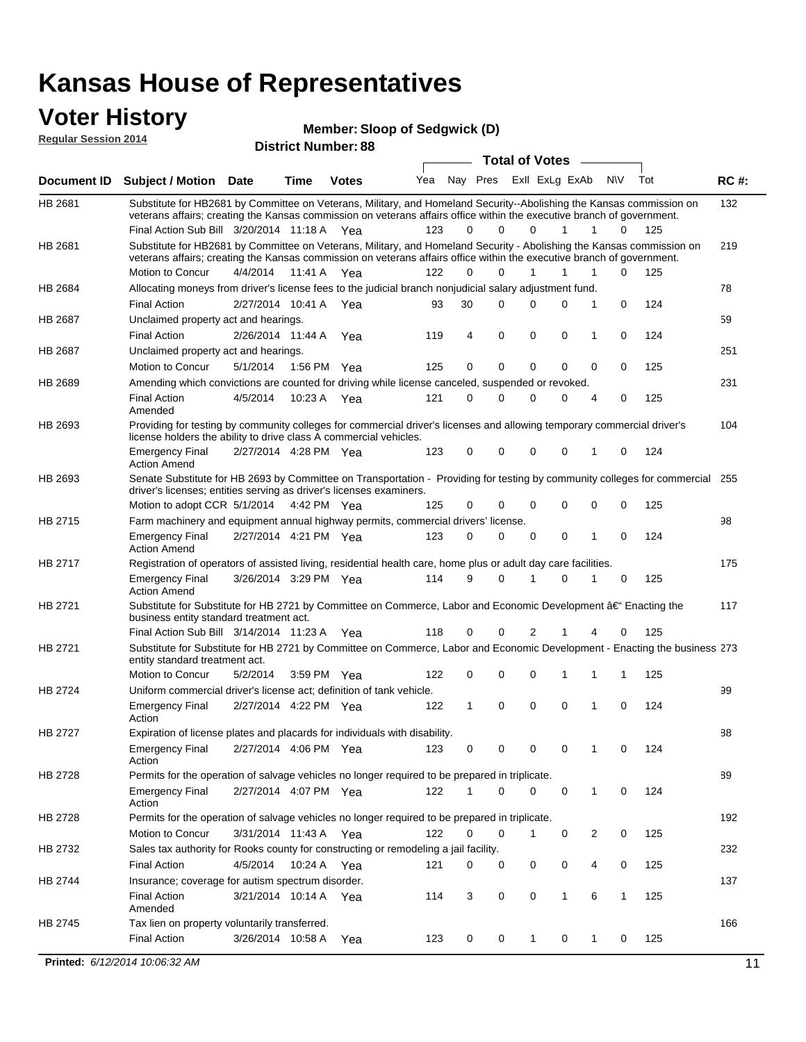#### **Voter History**

**Regular Session 2014**

**Member: Sloop of Sedgwick (D)** 

| noguidi ocoololi 4014 |                                                                                                                                                                                                                                                                                               |                       |             | <b>District Number: 88</b> |     |    |          |                         |              |   |              |     |             |
|-----------------------|-----------------------------------------------------------------------------------------------------------------------------------------------------------------------------------------------------------------------------------------------------------------------------------------------|-----------------------|-------------|----------------------------|-----|----|----------|-------------------------|--------------|---|--------------|-----|-------------|
|                       |                                                                                                                                                                                                                                                                                               |                       |             |                            |     |    |          | <b>Total of Votes</b>   |              |   |              |     |             |
| Document ID           | Subject / Motion Date                                                                                                                                                                                                                                                                         |                       | <b>Time</b> | <b>Votes</b>               | Yea |    |          | Nay Pres ExII ExLg ExAb |              |   | N\V          | Tot | <b>RC#:</b> |
| HB 2681               | Substitute for HB2681 by Committee on Veterans, Military, and Homeland Security--Abolishing the Kansas commission on<br>veterans affairs; creating the Kansas commission on veterans affairs office within the executive branch of government.<br>Final Action Sub Bill 3/20/2014 11:18 A Yea |                       |             |                            | 123 | 0  | $\Omega$ | $\Omega$                | 1            | 1 | $\Omega$     | 125 | 132         |
| HB 2681               | Substitute for HB2681 by Committee on Veterans, Military, and Homeland Security - Abolishing the Kansas commission on<br>veterans affairs; creating the Kansas commission on veterans affairs office within the executive branch of government.                                               |                       |             |                            |     |    |          |                         |              |   |              |     | 219         |
|                       | Motion to Concur                                                                                                                                                                                                                                                                              | 4/4/2014              | 11:41 A     | Yea                        | 122 | 0  | 0        | $\mathbf{1}$            | 1            | 1 | 0            | 125 |             |
| HB 2684               | Allocating moneys from driver's license fees to the judicial branch nonjudicial salary adjustment fund.                                                                                                                                                                                       |                       |             |                            |     |    |          |                         |              |   |              |     | 78          |
|                       | <b>Final Action</b>                                                                                                                                                                                                                                                                           | 2/27/2014 10:41 A Yea |             |                            | 93  | 30 | 0        | 0                       | 0            | 1 | $\mathbf 0$  | 124 |             |
| HB 2687               | Unclaimed property act and hearings.                                                                                                                                                                                                                                                          |                       |             |                            |     |    |          |                         |              |   |              |     | 59          |
|                       | <b>Final Action</b>                                                                                                                                                                                                                                                                           | 2/26/2014 11:44 A     |             | Yea                        | 119 | 4  | 0        | 0                       | $\mathbf 0$  | 1 | 0            | 124 |             |
| HB 2687               | Unclaimed property act and hearings.                                                                                                                                                                                                                                                          |                       |             |                            |     |    |          |                         |              |   |              |     | 251         |
|                       | Motion to Concur                                                                                                                                                                                                                                                                              | 5/1/2014              |             | 1:56 PM Yea                | 125 | 0  | 0        | 0                       | 0            | 0 | 0            | 125 |             |
| HB 2689               | Amending which convictions are counted for driving while license canceled, suspended or revoked.                                                                                                                                                                                              |                       |             |                            |     |    |          |                         |              |   |              |     | 231         |
|                       | <b>Final Action</b><br>Amended                                                                                                                                                                                                                                                                | 4/5/2014              | 10:23 A     | Yea                        | 121 | 0  | 0        | 0                       | 0            | 4 | 0            | 125 |             |
| HB 2693               | Providing for testing by community colleges for commercial driver's licenses and allowing temporary commercial driver's<br>license holders the ability to drive class A commercial vehicles.                                                                                                  |                       |             |                            |     |    |          |                         |              |   |              |     | 104         |
|                       | <b>Emergency Final</b><br><b>Action Amend</b>                                                                                                                                                                                                                                                 | 2/27/2014 4:28 PM Yea |             |                            | 123 | 0  | $\Omega$ | 0                       | 0            | 1 | 0            | 124 |             |
| HB 2693               | Senate Substitute for HB 2693 by Committee on Transportation - Providing for testing by community colleges for commercial 255<br>driver's licenses; entities serving as driver's licenses examiners.                                                                                          |                       |             |                            |     |    |          |                         |              |   |              |     |             |
|                       | Motion to adopt CCR 5/1/2014 4:42 PM Yea                                                                                                                                                                                                                                                      |                       |             |                            | 125 | 0  | 0        | 0                       | 0            | 0 | 0            | 125 |             |
| HB 2715               | Farm machinery and equipment annual highway permits, commercial drivers' license.                                                                                                                                                                                                             |                       |             |                            |     |    | 0        |                         |              |   |              |     | 98          |
|                       | <b>Emergency Final</b><br><b>Action Amend</b>                                                                                                                                                                                                                                                 | 2/27/2014 4:21 PM Yea |             |                            | 123 | 0  |          | 0                       | 0            | 1 | 0            | 124 |             |
| HB 2717               | Registration of operators of assisted living, residential health care, home plus or adult day care facilities.                                                                                                                                                                                |                       |             |                            |     |    |          |                         |              |   |              |     | 175         |
|                       | <b>Emergency Final</b><br><b>Action Amend</b>                                                                                                                                                                                                                                                 | 3/26/2014 3:29 PM Yea |             |                            | 114 | 9  | 0        | 1                       | 0            | 1 | 0            | 125 |             |
| HB 2721               | Substitute for Substitute for HB 2721 by Committee on Commerce, Labor and Economic Development †Enacting the<br>business entity standard treatment act.                                                                                                                                       |                       |             |                            |     |    |          |                         |              |   |              |     | 117         |
|                       | Final Action Sub Bill 3/14/2014 11:23 A Yea                                                                                                                                                                                                                                                   |                       |             |                            | 118 | 0  | 0        | 2                       |              |   | 0            | 125 |             |
| HB 2721               | Substitute for Substitute for HB 2721 by Committee on Commerce, Labor and Economic Development - Enacting the business 273<br>entity standard treatment act.                                                                                                                                  |                       |             |                            |     |    |          |                         |              |   |              |     |             |
|                       | Motion to Concur                                                                                                                                                                                                                                                                              | 5/2/2014              |             | 3:59 PM Yea                | 122 | 0  | 0        | 0                       | 1            | 1 | 1            | 125 |             |
| HB 2724               | Uniform commercial driver's license act; definition of tank vehicle.<br><b>Emergency Final</b><br>Action                                                                                                                                                                                      | 2/27/2014 4:22 PM Yea |             |                            | 122 | 1  | 0        | 0                       | 0            | 1 | 0            | 124 | 99          |
| HB 2727               | Expiration of license plates and placards for individuals with disability.                                                                                                                                                                                                                    |                       |             |                            |     |    |          |                         |              |   |              |     | 88          |
|                       | <b>Emergency Final</b><br>Action                                                                                                                                                                                                                                                              | 2/27/2014 4:06 PM Yea |             |                            | 123 | 0  | 0        | 0                       | 0            | 1 | 0            | 124 |             |
| HB 2728               | Permits for the operation of salvage vehicles no longer required to be prepared in triplicate.                                                                                                                                                                                                |                       |             |                            |     |    |          |                         |              |   |              |     | 89          |
|                       | <b>Emergency Final</b><br>Action                                                                                                                                                                                                                                                              | 2/27/2014 4:07 PM Yea |             |                            | 122 | 1  | 0        | 0                       | 0            | 1 | 0            | 124 |             |
| HB 2728               | Permits for the operation of salvage vehicles no longer required to be prepared in triplicate.                                                                                                                                                                                                |                       |             |                            |     |    |          |                         |              |   |              |     | 192         |
|                       | Motion to Concur                                                                                                                                                                                                                                                                              | 3/31/2014 11:43 A Yea |             |                            | 122 | 0  | 0        | 1                       | 0            | 2 | 0            | 125 |             |
| HB 2732               | Sales tax authority for Rooks county for constructing or remodeling a jail facility.                                                                                                                                                                                                          |                       |             |                            |     |    |          |                         |              |   |              |     | 232         |
|                       | <b>Final Action</b>                                                                                                                                                                                                                                                                           | 4/5/2014              |             | 10:24 A Yea                | 121 | 0  | 0        | 0                       | 0            | 4 | 0            | 125 |             |
| HB 2744               | Insurance; coverage for autism spectrum disorder.                                                                                                                                                                                                                                             |                       |             |                            |     |    |          |                         |              |   |              |     | 137         |
|                       | <b>Final Action</b><br>Amended                                                                                                                                                                                                                                                                | 3/21/2014 10:14 A Yea |             |                            | 114 | 3  | 0        | 0                       | $\mathbf{1}$ | 6 | $\mathbf{1}$ | 125 |             |
| HB 2745               | Tax lien on property voluntarily transferred.                                                                                                                                                                                                                                                 |                       |             |                            |     |    |          |                         |              |   |              |     | 166         |
|                       | <b>Final Action</b>                                                                                                                                                                                                                                                                           | 3/26/2014 10:58 A     |             | Yea                        | 123 | 0  | 0        | 1                       | 0            | 1 | 0            | 125 |             |
|                       | Printed: 6/12/2014 10:06:32 AM                                                                                                                                                                                                                                                                |                       |             |                            |     |    |          |                         |              |   |              |     | 11          |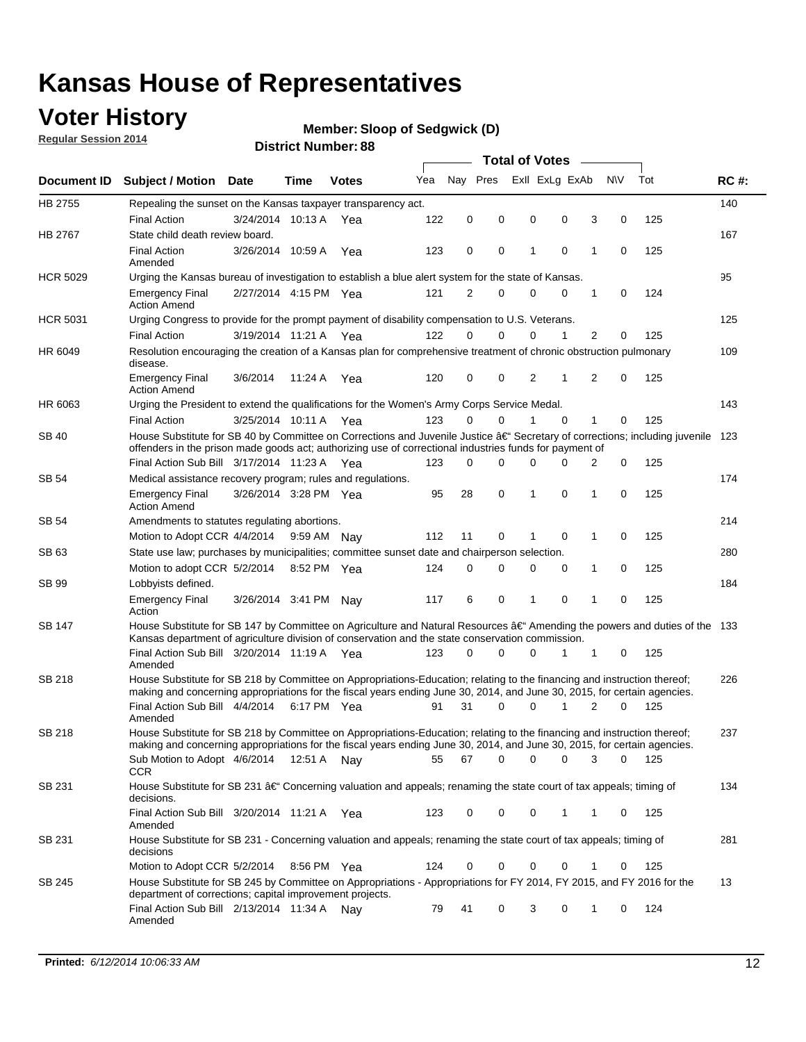## **Voter History**

**Regular Session 2014**

#### **Member: Sloop of Sedgwick (D)**

|                 |                                                                                                                                                                                                                                      | <b>Total of Votes</b> |             |              |     |             |          |                |             |   |             |     |             |
|-----------------|--------------------------------------------------------------------------------------------------------------------------------------------------------------------------------------------------------------------------------------|-----------------------|-------------|--------------|-----|-------------|----------|----------------|-------------|---|-------------|-----|-------------|
| Document ID     | <b>Subject / Motion Date</b>                                                                                                                                                                                                         |                       | Time        | <b>Votes</b> | Yea | Nay Pres    |          | Exll ExLg ExAb |             |   | <b>NV</b>   | Tot | <b>RC#:</b> |
| HB 2755         | Repealing the sunset on the Kansas taxpayer transparency act.                                                                                                                                                                        |                       |             |              |     |             |          |                |             |   |             |     | 140         |
|                 | <b>Final Action</b>                                                                                                                                                                                                                  | 3/24/2014 10:13 A     |             | Yea          | 122 | $\mathbf 0$ | 0        | 0              | 0           | 3 | 0           | 125 |             |
| HB 2767         | State child death review board.                                                                                                                                                                                                      |                       |             |              |     |             |          |                |             |   |             |     | 167         |
|                 | <b>Final Action</b><br>Amended                                                                                                                                                                                                       | 3/26/2014 10:59 A     |             | Yea          | 123 | 0           | 0        | 1              | $\mathbf 0$ | 1 | $\mathbf 0$ | 125 |             |
| <b>HCR 5029</b> | Urging the Kansas bureau of investigation to establish a blue alert system for the state of Kansas.                                                                                                                                  |                       |             |              |     |             |          |                |             |   |             |     | 95          |
|                 | <b>Emergency Final</b><br><b>Action Amend</b>                                                                                                                                                                                        | 2/27/2014 4:15 PM Yea |             |              | 121 | 2           | 0        | $\mathbf 0$    | 0           | 1 | 0           | 124 |             |
| <b>HCR 5031</b> | Urging Congress to provide for the prompt payment of disability compensation to U.S. Veterans.                                                                                                                                       |                       |             |              |     |             |          |                |             |   |             |     | 125         |
|                 | <b>Final Action</b>                                                                                                                                                                                                                  | 3/19/2014 11:21 A Yea |             |              | 122 | $\Omega$    | $\Omega$ | 0              | 1           | 2 | 0           | 125 |             |
| HR 6049         | Resolution encouraging the creation of a Kansas plan for comprehensive treatment of chronic obstruction pulmonary<br>disease.                                                                                                        |                       |             |              |     |             |          |                |             |   |             |     | 109         |
|                 | <b>Emergency Final</b><br><b>Action Amend</b>                                                                                                                                                                                        | 3/6/2014              | 11:24 A     | Yea          | 120 | $\mathbf 0$ | 0        | 2              | 1           | 2 | $\mathbf 0$ | 125 |             |
| HR 6063         | Urging the President to extend the qualifications for the Women's Army Corps Service Medal.                                                                                                                                          |                       |             |              |     |             |          |                |             |   |             |     | 143         |
|                 | <b>Final Action</b>                                                                                                                                                                                                                  | 3/25/2014 10:11 A Yea |             |              | 123 | 0           | $\Omega$ | 1              | $\Omega$    | 1 | $\mathbf 0$ | 125 |             |
| <b>SB 40</b>    | House Substitute for SB 40 by Committee on Corrections and Juvenile Justice †Secretary of corrections; including juvenile<br>offenders in the prison made goods act; authorizing use of correctional industries funds for payment of |                       |             |              |     |             |          |                |             |   |             |     | 123         |
|                 | Final Action Sub Bill 3/17/2014 11:23 A Yea                                                                                                                                                                                          |                       |             |              | 123 | 0           | 0        | 0              | 0           | 2 | 0           | 125 |             |
| <b>SB 54</b>    | Medical assistance recovery program; rules and regulations.                                                                                                                                                                          |                       |             |              |     |             |          |                |             |   |             |     | 174         |
|                 | <b>Emergency Final</b><br><b>Action Amend</b>                                                                                                                                                                                        | 3/26/2014 3:28 PM Yea |             |              | 95  | 28          | 0        | 1              | 0           | 1 | $\mathbf 0$ | 125 |             |
| <b>SB 54</b>    | Amendments to statutes regulating abortions.                                                                                                                                                                                         |                       |             |              |     |             |          |                |             |   |             |     | 214         |
|                 | Motion to Adopt CCR 4/4/2014                                                                                                                                                                                                         |                       | 9:59 AM     | Nay          | 112 | 11          | 0        | 1              | 0           | 1 | 0           | 125 |             |
| SB 63           | State use law; purchases by municipalities; committee sunset date and chairperson selection.                                                                                                                                         |                       |             |              |     |             |          |                |             |   |             |     | 280         |
|                 | Motion to adopt CCR 5/2/2014                                                                                                                                                                                                         |                       | 8:52 PM Yea |              | 124 | $\mathbf 0$ | 0        | 0              | 0           | 1 | 0           | 125 |             |
| SB 99           | Lobbyists defined.                                                                                                                                                                                                                   |                       |             |              |     |             |          |                |             |   |             |     | 184         |
|                 | <b>Emergency Final</b><br>Action                                                                                                                                                                                                     | 3/26/2014 3:41 PM     |             | Nav          | 117 | 6           | 0        | 1              | 0           | 1 | $\mathbf 0$ | 125 |             |
| SB 147          | House Substitute for SB 147 by Committee on Agriculture and Natural Resources †Amending the powers and duties of the 133<br>Kansas department of agriculture division of conservation and the state conservation commission.         |                       |             |              |     |             |          |                |             |   |             |     |             |
|                 | Final Action Sub Bill 3/20/2014 11:19 A Yea<br>Amended                                                                                                                                                                               |                       |             |              | 123 | $\Omega$    | 0        | 0              | 1           | 1 | 0           | 125 |             |
| <b>SB 218</b>   | House Substitute for SB 218 by Committee on Appropriations-Education; relating to the financing and instruction thereof;                                                                                                             |                       |             |              |     |             |          |                |             |   |             |     | 226         |
|                 | making and concerning appropriations for the fiscal years ending June 30, 2014, and June 30, 2015, for certain agencies.<br>Final Action Sub Bill 4/4/2014<br>Amended                                                                |                       | 6:17 PM Yea |              | 91  | 31          | 0        | 0              | 1           | 2 | $\Omega$    | 125 |             |
| <b>SB 218</b>   | House Substitute for SB 218 by Committee on Appropriations-Education; relating to the financing and instruction thereof;                                                                                                             |                       |             |              |     |             |          |                |             |   |             |     | 237         |
|                 | making and concerning appropriations for the fiscal years ending June 30, 2014, and June 30, 2015, for certain agencies.                                                                                                             |                       |             |              |     |             |          |                |             |   |             |     |             |
|                 | Sub Motion to Adopt 4/6/2014 12:51 A Nay<br><b>CCR</b>                                                                                                                                                                               |                       |             |              | 55  | 67          | 0        | 0              | 0           | 3 | 0           | 125 |             |
| SB 231          | House Substitute for SB 231 †Concerning valuation and appeals; renaming the state court of tax appeals; timing of<br>decisions.                                                                                                      |                       |             |              |     |             |          |                |             |   |             |     | 134         |
|                 | Final Action Sub Bill 3/20/2014 11:21 A Yea<br>Amended                                                                                                                                                                               |                       |             |              | 123 | 0           | 0        | 0              | 1           | 1 | 0           | 125 |             |
| SB 231          | House Substitute for SB 231 - Concerning valuation and appeals; renaming the state court of tax appeals; timing of<br>decisions                                                                                                      |                       |             |              |     |             |          |                |             |   |             |     | 281         |
|                 | Motion to Adopt CCR 5/2/2014                                                                                                                                                                                                         |                       | 8:56 PM Yea |              | 124 | 0           | 0        | 0              | 0           | 1 | 0           | 125 |             |
| SB 245          | House Substitute for SB 245 by Committee on Appropriations - Appropriations for FY 2014, FY 2015, and FY 2016 for the<br>department of corrections; capital improvement projects.                                                    |                       |             |              |     |             |          |                |             |   |             |     | 13          |
|                 | Final Action Sub Bill 2/13/2014 11:34 A<br>Amended                                                                                                                                                                                   |                       |             | Nav          | 79  | 41          | 0        | 3              | 0           | 1 | 0           | 124 |             |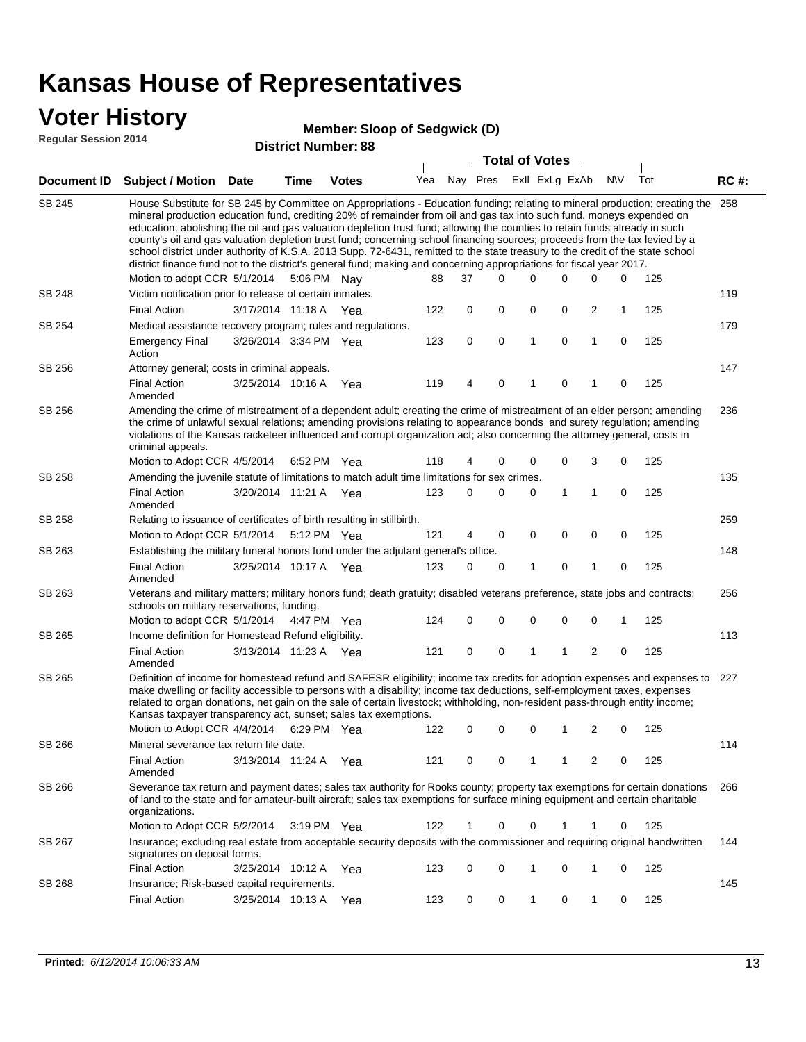### **Voter History**

#### **Member: Sloop of Sedgwick (D)**

**Regular Session 2014**

|               |                                                                                                                                                                                                                                                                                                                                                                                                                                                                                                                                                                                                                                                                                                                                                                                                               |                       |             | PISUIUL NUIIIN <del>C</del> I . 00 |     |    | <b>Total of Votes</b>   |             |   |              |             |     |             |
|---------------|---------------------------------------------------------------------------------------------------------------------------------------------------------------------------------------------------------------------------------------------------------------------------------------------------------------------------------------------------------------------------------------------------------------------------------------------------------------------------------------------------------------------------------------------------------------------------------------------------------------------------------------------------------------------------------------------------------------------------------------------------------------------------------------------------------------|-----------------------|-------------|------------------------------------|-----|----|-------------------------|-------------|---|--------------|-------------|-----|-------------|
|               | Document ID Subject / Motion Date                                                                                                                                                                                                                                                                                                                                                                                                                                                                                                                                                                                                                                                                                                                                                                             |                       | <b>Time</b> | <b>Votes</b>                       | Yea |    | Nay Pres Exll ExLg ExAb |             |   |              | <b>NV</b>   | Tot | <b>RC#:</b> |
| <b>SB 245</b> | House Substitute for SB 245 by Committee on Appropriations - Education funding; relating to mineral production; creating the<br>mineral production education fund, crediting 20% of remainder from oil and gas tax into such fund, moneys expended on<br>education; abolishing the oil and gas valuation depletion trust fund; allowing the counties to retain funds already in such<br>county's oil and gas valuation depletion trust fund; concerning school financing sources; proceeds from the tax levied by a<br>school district under authority of K.S.A. 2013 Supp. 72-6431, remitted to the state treasury to the credit of the state school<br>district finance fund not to the district's general fund; making and concerning appropriations for fiscal year 2017.<br>Motion to adopt CCR 5/1/2014 |                       |             | 5:06 PM Nay                        | 88  | 37 | 0                       | 0           | 0 | 0            | 0           | 125 | 258         |
| SB 248        | Victim notification prior to release of certain inmates.                                                                                                                                                                                                                                                                                                                                                                                                                                                                                                                                                                                                                                                                                                                                                      |                       |             |                                    |     |    |                         |             |   |              |             |     | 119         |
|               | <b>Final Action</b>                                                                                                                                                                                                                                                                                                                                                                                                                                                                                                                                                                                                                                                                                                                                                                                           | 3/17/2014 11:18 A     |             | Yea                                | 122 | 0  | 0                       | 0           | 0 | 2            | 1           | 125 |             |
| SB 254        | Medical assistance recovery program; rules and regulations.                                                                                                                                                                                                                                                                                                                                                                                                                                                                                                                                                                                                                                                                                                                                                   |                       |             |                                    |     |    |                         |             |   |              |             |     | 179         |
|               | <b>Emergency Final</b><br>Action                                                                                                                                                                                                                                                                                                                                                                                                                                                                                                                                                                                                                                                                                                                                                                              | 3/26/2014 3:34 PM Yea |             |                                    | 123 | 0  | $\mathbf 0$             | 1           | 0 | 1            | $\mathbf 0$ | 125 |             |
| SB 256        | Attorney general; costs in criminal appeals.                                                                                                                                                                                                                                                                                                                                                                                                                                                                                                                                                                                                                                                                                                                                                                  |                       |             |                                    |     |    |                         |             |   |              |             |     | 147         |
|               | <b>Final Action</b><br>Amended                                                                                                                                                                                                                                                                                                                                                                                                                                                                                                                                                                                                                                                                                                                                                                                | 3/25/2014 10:16 A     |             | Yea                                | 119 | 4  | 0                       | 1           | 0 | 1            | 0           | 125 |             |
| SB 256        | Amending the crime of mistreatment of a dependent adult; creating the crime of mistreatment of an elder person; amending<br>the crime of unlawful sexual relations; amending provisions relating to appearance bonds and surety regulation; amending<br>violations of the Kansas racketeer influenced and corrupt organization act; also concerning the attorney general, costs in<br>criminal appeals.                                                                                                                                                                                                                                                                                                                                                                                                       |                       |             |                                    |     |    |                         |             |   |              |             |     | 236         |
|               | Motion to Adopt CCR 4/5/2014                                                                                                                                                                                                                                                                                                                                                                                                                                                                                                                                                                                                                                                                                                                                                                                  |                       | 6:52 PM Yea |                                    | 118 | 4  | 0                       | 0           | 0 | 3            | 0           | 125 |             |
| SB 258        | Amending the juvenile statute of limitations to match adult time limitations for sex crimes.                                                                                                                                                                                                                                                                                                                                                                                                                                                                                                                                                                                                                                                                                                                  |                       |             |                                    |     |    |                         |             |   |              |             |     | 135         |
|               | <b>Final Action</b><br>Amended                                                                                                                                                                                                                                                                                                                                                                                                                                                                                                                                                                                                                                                                                                                                                                                | 3/20/2014 11:21 A Yea |             |                                    | 123 | 0  | 0                       | 0           | 1 | 1            | 0           | 125 |             |
| SB 258        | Relating to issuance of certificates of birth resulting in stillbirth.                                                                                                                                                                                                                                                                                                                                                                                                                                                                                                                                                                                                                                                                                                                                        |                       |             |                                    |     |    |                         |             |   |              |             |     | 259         |
|               | Motion to Adopt CCR 5/1/2014                                                                                                                                                                                                                                                                                                                                                                                                                                                                                                                                                                                                                                                                                                                                                                                  |                       |             | 5:12 PM Yea                        | 121 | 4  | 0                       | 0           | 0 | 0            | 0           | 125 |             |
| SB 263        | Establishing the military funeral honors fund under the adjutant general's office.                                                                                                                                                                                                                                                                                                                                                                                                                                                                                                                                                                                                                                                                                                                            |                       |             |                                    |     |    |                         |             |   |              |             |     | 148         |
|               | <b>Final Action</b><br>Amended                                                                                                                                                                                                                                                                                                                                                                                                                                                                                                                                                                                                                                                                                                                                                                                | 3/25/2014 10:17 A Yea |             |                                    | 123 | 0  | 0                       | 1           | 0 | $\mathbf{1}$ | 0           | 125 |             |
| SB 263        | Veterans and military matters; military honors fund; death gratuity; disabled veterans preference, state jobs and contracts;<br>schools on military reservations, funding.                                                                                                                                                                                                                                                                                                                                                                                                                                                                                                                                                                                                                                    |                       |             |                                    |     |    |                         |             |   |              |             |     | 256         |
|               | Motion to adopt CCR 5/1/2014 4:47 PM Yea                                                                                                                                                                                                                                                                                                                                                                                                                                                                                                                                                                                                                                                                                                                                                                      |                       |             |                                    | 124 | 0  | 0                       | $\mathbf 0$ | 0 | 0            | 1           | 125 |             |
| SB 265        | Income definition for Homestead Refund eligibility.                                                                                                                                                                                                                                                                                                                                                                                                                                                                                                                                                                                                                                                                                                                                                           |                       |             |                                    |     |    |                         |             |   |              |             |     | 113         |
|               | <b>Final Action</b><br>Amended                                                                                                                                                                                                                                                                                                                                                                                                                                                                                                                                                                                                                                                                                                                                                                                | 3/13/2014 11:23 A Yea |             |                                    | 121 | 0  | 0                       | 1           | 1 | 2            | 0           | 125 |             |
| SB 265        | Definition of income for homestead refund and SAFESR eligibility; income tax credits for adoption expenses and expenses to<br>make dwelling or facility accessible to persons with a disability; income tax deductions, self-employment taxes, expenses<br>related to organ donations, net gain on the sale of certain livestock; withholding, non-resident pass-through entity income;<br>Kansas taxpayer transparency act, sunset; sales tax exemptions.<br>Motion to Adopt CCR 4/4/2014                                                                                                                                                                                                                                                                                                                    |                       |             | 6:29 PM Yea                        | 122 | 0  | 0                       | 0           | 1 | 2            | 0           | 125 | 227         |
| SB 266        | Mineral severance tax return file date.                                                                                                                                                                                                                                                                                                                                                                                                                                                                                                                                                                                                                                                                                                                                                                       |                       |             |                                    |     |    |                         |             |   |              |             |     | 114         |
|               | <b>Final Action</b><br>Amended                                                                                                                                                                                                                                                                                                                                                                                                                                                                                                                                                                                                                                                                                                                                                                                | 3/13/2014 11:24 A     |             | Yea                                | 121 | 0  | 0                       | 1           | 1 | 2            | 0           | 125 |             |
| SB 266        | Severance tax return and payment dates; sales tax authority for Rooks county; property tax exemptions for certain donations<br>of land to the state and for amateur-built aircraft; sales tax exemptions for surface mining equipment and certain charitable<br>organizations.                                                                                                                                                                                                                                                                                                                                                                                                                                                                                                                                |                       |             |                                    |     |    |                         |             |   |              |             |     | 266         |
|               | Motion to Adopt CCR 5/2/2014                                                                                                                                                                                                                                                                                                                                                                                                                                                                                                                                                                                                                                                                                                                                                                                  |                       |             | $3:19$ PM Yea                      | 122 | 1  | 0                       | 0           | 1 | 1            | 0           | 125 |             |
| SB 267        | Insurance; excluding real estate from acceptable security deposits with the commissioner and requiring original handwritten<br>signatures on deposit forms.                                                                                                                                                                                                                                                                                                                                                                                                                                                                                                                                                                                                                                                   |                       |             |                                    |     |    |                         |             |   |              |             |     | 144         |
|               | <b>Final Action</b>                                                                                                                                                                                                                                                                                                                                                                                                                                                                                                                                                                                                                                                                                                                                                                                           | 3/25/2014 10:12 A     |             | Yea                                | 123 | 0  | 0                       | 1           | 0 | $\mathbf{1}$ | 0           | 125 |             |
| SB 268        | Insurance; Risk-based capital requirements.                                                                                                                                                                                                                                                                                                                                                                                                                                                                                                                                                                                                                                                                                                                                                                   |                       |             |                                    |     |    |                         |             |   |              |             |     | 145         |
|               | <b>Final Action</b>                                                                                                                                                                                                                                                                                                                                                                                                                                                                                                                                                                                                                                                                                                                                                                                           | 3/25/2014 10:13 A     |             | Yea                                | 123 | 0  | 0                       | 1           | 0 | $\mathbf{1}$ | 0           | 125 |             |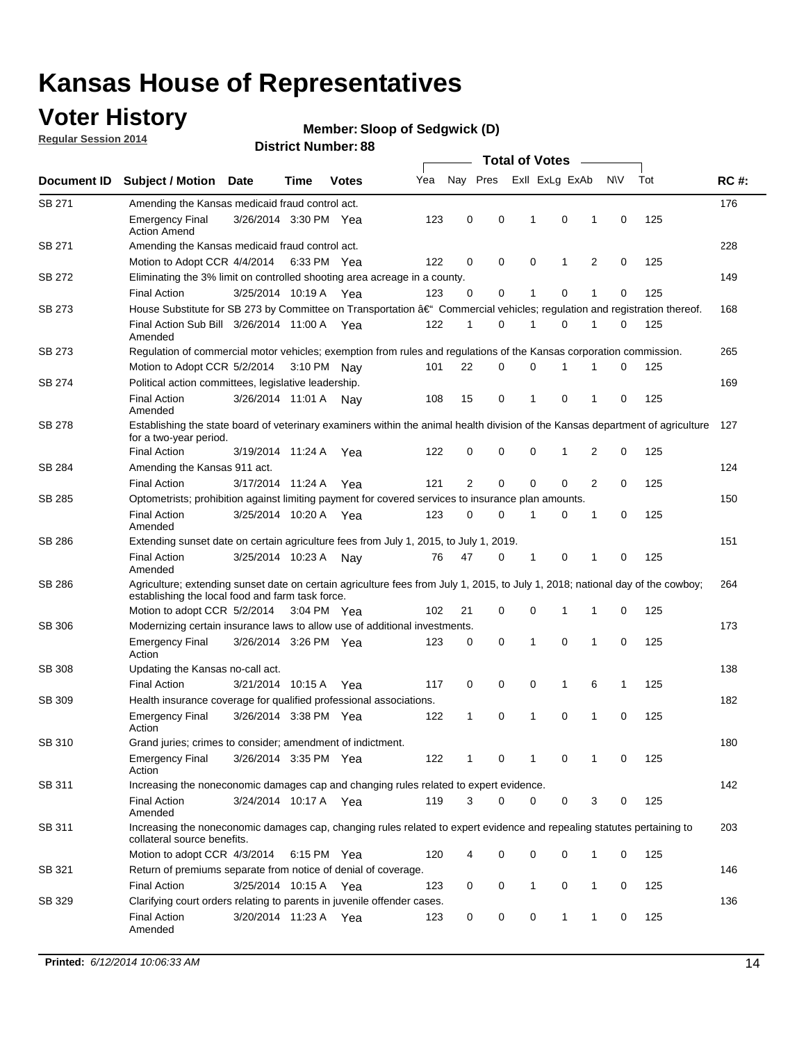## **Voter History**

**Regular Session 2014**

#### **Member: Sloop of Sedgwick (D)**

|               | <b>Total of Votes</b>                                                                                                                                                              |                       |      |              |     |                |          |             |                |                |             |     |             |
|---------------|------------------------------------------------------------------------------------------------------------------------------------------------------------------------------------|-----------------------|------|--------------|-----|----------------|----------|-------------|----------------|----------------|-------------|-----|-------------|
| Document ID   | <b>Subject / Motion</b>                                                                                                                                                            | <b>Date</b>           | Time | <b>Votes</b> | Yea | Nay Pres       |          |             | Exll ExLg ExAb |                | <b>NV</b>   | Tot | <b>RC#:</b> |
| SB 271        | Amending the Kansas medicaid fraud control act.                                                                                                                                    |                       |      |              |     |                |          |             |                |                |             |     | 176         |
|               | <b>Emergency Final</b><br><b>Action Amend</b>                                                                                                                                      | 3/26/2014 3:30 PM Yea |      |              | 123 | 0              | 0        | 1           | $\mathbf 0$    | 1              | 0           | 125 |             |
| SB 271        | Amending the Kansas medicaid fraud control act.                                                                                                                                    |                       |      |              |     |                |          |             |                |                |             |     | 228         |
|               | Motion to Adopt CCR 4/4/2014 6:33 PM Yea                                                                                                                                           |                       |      |              | 122 | 0              | 0        | $\mathbf 0$ | 1              | $\overline{2}$ | 0           | 125 |             |
| SB 272        | Eliminating the 3% limit on controlled shooting area acreage in a county.                                                                                                          |                       |      |              |     |                |          |             |                |                |             |     | 149         |
|               | <b>Final Action</b>                                                                                                                                                                | 3/25/2014 10:19 A     |      | Yea          | 123 | 0              | 0        | 1           | $\mathbf 0$    | $\mathbf{1}$   | 0           | 125 |             |
| SB 273        | House Substitute for SB 273 by Committee on Transportation †Commercial vehicles; regulation and registration thereof.                                                              |                       |      |              |     |                |          |             |                |                |             |     | 168         |
|               | Final Action Sub Bill 3/26/2014 11:00 A Yea<br>Amended                                                                                                                             |                       |      |              | 122 | 1              | 0        | 1           | 0              | 1              | 0           | 125 |             |
| SB 273        | Regulation of commercial motor vehicles; exemption from rules and regulations of the Kansas corporation commission.                                                                |                       |      |              |     |                |          |             |                |                |             |     | 265         |
|               | Motion to Adopt CCR 5/2/2014 3:10 PM Nav                                                                                                                                           |                       |      |              | 101 | 22             | 0        | $\mathbf 0$ |                |                | 0           | 125 |             |
| SB 274        | Political action committees, legislative leadership.                                                                                                                               |                       |      |              |     |                |          |             |                |                |             |     | 169         |
|               | <b>Final Action</b><br>Amended                                                                                                                                                     | 3/26/2014 11:01 A Nav |      |              | 108 | 15             | 0        | 1           | $\mathbf 0$    | 1              | 0           | 125 |             |
| <b>SB 278</b> | Establishing the state board of veterinary examiners within the animal health division of the Kansas department of agriculture<br>for a two-year period.                           |                       |      |              |     |                |          |             |                |                |             |     | 127         |
|               | <b>Final Action</b>                                                                                                                                                                | 3/19/2014 11:24 A     |      | Yea          | 122 | 0              | 0        | 0           | 1              | 2              | 0           | 125 |             |
| SB 284        | Amending the Kansas 911 act.                                                                                                                                                       |                       |      |              |     |                |          |             |                |                |             |     | 124         |
|               | <b>Final Action</b>                                                                                                                                                                | 3/17/2014 11:24 A     |      | Yea          | 121 | $\overline{2}$ | 0        | $\mathbf 0$ | $\mathbf 0$    | $\overline{2}$ | $\mathbf 0$ | 125 |             |
| SB 285        | Optometrists; prohibition against limiting payment for covered services to insurance plan amounts.                                                                                 |                       |      |              |     |                |          |             |                |                |             |     | 150         |
|               | <b>Final Action</b><br>Amended                                                                                                                                                     | 3/25/2014 10:20 A     |      | Yea          | 123 | 0              | 0        | 1           | 0              | 1              | 0           | 125 |             |
| SB 286        | Extending sunset date on certain agriculture fees from July 1, 2015, to July 1, 2019.                                                                                              |                       |      |              |     |                |          |             |                |                |             |     | 151         |
|               | <b>Final Action</b><br>Amended                                                                                                                                                     | 3/25/2014 10:23 A     |      | Nav          | 76  | 47             | 0        | 1           | $\mathbf 0$    | 1              | 0           | 125 |             |
| SB 286        | Agriculture; extending sunset date on certain agriculture fees from July 1, 2015, to July 1, 2018; national day of the cowboy;<br>establishing the local food and farm task force. |                       |      |              |     |                |          |             |                |                |             |     | 264         |
|               | Motion to adopt CCR 5/2/2014 3:04 PM Yea                                                                                                                                           |                       |      |              | 102 | 21             | 0        | $\mathbf 0$ | 1              | 1              | 0           | 125 |             |
| SB 306        | Modernizing certain insurance laws to allow use of additional investments.                                                                                                         |                       |      |              |     |                |          |             |                |                |             |     | 173         |
|               | <b>Emergency Final</b><br>Action                                                                                                                                                   | 3/26/2014 3:26 PM Yea |      |              | 123 | 0              | 0        | 1           | 0              | 1              | 0           | 125 |             |
| <b>SB 308</b> | Updating the Kansas no-call act.                                                                                                                                                   |                       |      |              |     |                |          |             |                |                |             |     | 138         |
|               | <b>Final Action</b>                                                                                                                                                                | 3/21/2014 10:15 A     |      | Yea          | 117 | 0              | 0        | 0           | 1              | 6              | 1           | 125 |             |
| SB 309        | Health insurance coverage for qualified professional associations.                                                                                                                 |                       |      |              |     |                |          |             |                |                |             |     | 182         |
|               | <b>Emergency Final</b><br>Action                                                                                                                                                   | 3/26/2014 3:38 PM Yea |      |              | 122 | 1              | 0        | 1           | $\mathbf 0$    | $\mathbf{1}$   | 0           | 125 |             |
| SB 310        | Grand juries; crimes to consider; amendment of indictment.                                                                                                                         |                       |      |              |     |                |          |             |                |                |             |     | 180         |
|               | Emergency Final<br>Action                                                                                                                                                          | 3/26/2014 3:35 PM Yea |      |              | 122 |                | 0        |             | 0              | 1              | 0           | 125 |             |
| SB 311        | Increasing the noneconomic damages cap and changing rules related to expert evidence.                                                                                              |                       |      |              |     |                |          |             |                |                |             |     | 142         |
|               | <b>Final Action</b><br>Amended                                                                                                                                                     | 3/24/2014 10:17 A Yea |      |              | 119 | 3              | $\Omega$ | 0           | 0              | 3              | 0           | 125 |             |
| SB 311        | Increasing the noneconomic damages cap, changing rules related to expert evidence and repealing statutes pertaining to<br>collateral source benefits.                              |                       |      |              |     |                |          |             |                |                |             |     | 203         |
|               | Motion to adopt CCR 4/3/2014 6:15 PM Yea                                                                                                                                           |                       |      |              | 120 | 4              | 0        | 0           | 0              | 1              | 0           | 125 |             |
| SB 321        | Return of premiums separate from notice of denial of coverage.                                                                                                                     |                       |      |              |     |                |          |             |                |                |             |     | 146         |
|               | <b>Final Action</b>                                                                                                                                                                | 3/25/2014 10:15 A Yea |      |              | 123 | 0              | 0        | 1           | 0              | 1              | 0           | 125 |             |
| SB 329        | Clarifying court orders relating to parents in juvenile offender cases.<br><b>Final Action</b><br>Amended                                                                          | 3/20/2014 11:23 A Yea |      |              | 123 | 0              | 0        | 0           | 1              | $\mathbf 1$    | 0           | 125 | 136         |
|               |                                                                                                                                                                                    |                       |      |              |     |                |          |             |                |                |             |     |             |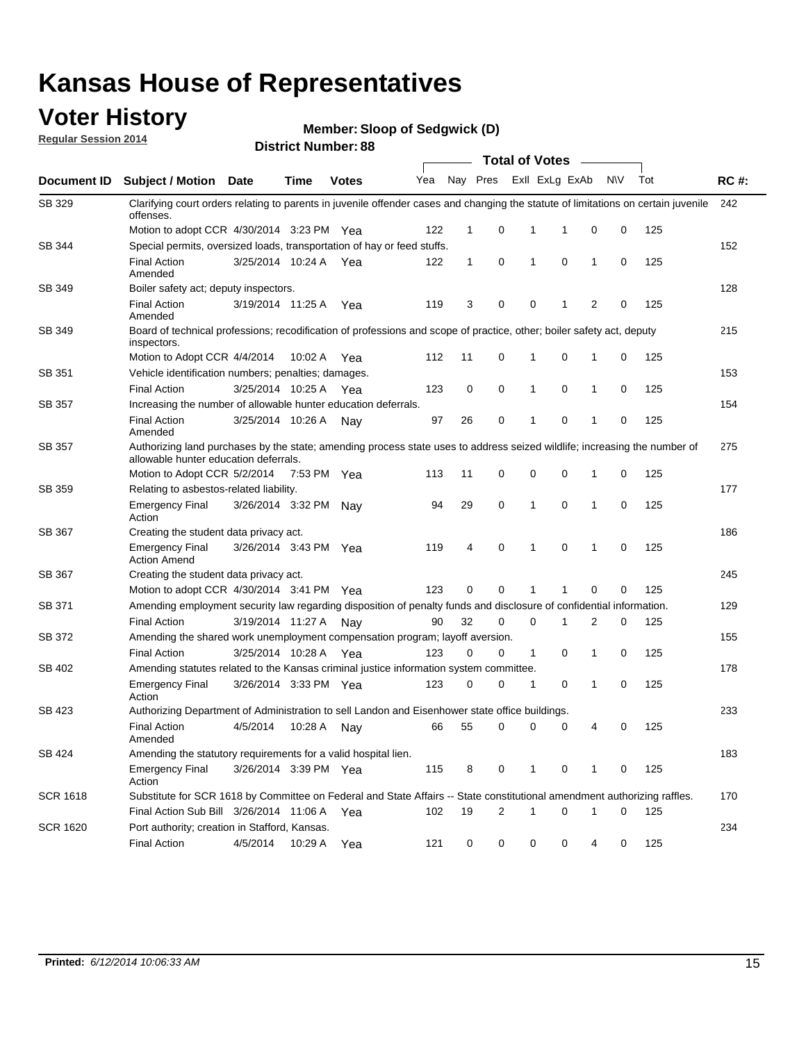### **Voter History**

**Regular Session 2014**

**Member: Sloop of Sedgwick (D)** 

|                    | <b>Total of Votes</b>                                                                                                                                              |                       |             |              |     |             |   |              |                |                |             |     |             |
|--------------------|--------------------------------------------------------------------------------------------------------------------------------------------------------------------|-----------------------|-------------|--------------|-----|-------------|---|--------------|----------------|----------------|-------------|-----|-------------|
| <b>Document ID</b> | <b>Subject / Motion Date</b>                                                                                                                                       |                       | Time        | <b>Votes</b> | Yea | Nay Pres    |   |              | Exll ExLg ExAb |                | N\V         | Tot | <b>RC#:</b> |
| SB 329             | Clarifying court orders relating to parents in juvenile offender cases and changing the statute of limitations on certain juvenile<br>offenses.                    |                       |             |              |     |             |   |              |                |                |             |     | 242         |
|                    | Motion to adopt CCR 4/30/2014 3:23 PM Yea                                                                                                                          |                       |             |              | 122 | $\mathbf 1$ | 0 | 1            | 1              | 0              | 0           | 125 |             |
| SB 344             | Special permits, oversized loads, transportation of hay or feed stuffs.                                                                                            |                       |             |              |     |             |   |              |                |                |             |     | 152         |
|                    | <b>Final Action</b><br>Amended                                                                                                                                     | 3/25/2014 10:24 A     |             | Yea          | 122 | 1           | 0 | 1            | 0              | $\mathbf 1$    | 0           | 125 |             |
| SB 349             | Boiler safety act; deputy inspectors.                                                                                                                              |                       |             |              |     |             |   |              |                |                |             |     | 128         |
|                    | <b>Final Action</b><br>Amended                                                                                                                                     | 3/19/2014 11:25 A     |             | Yea          | 119 | 3           | 0 | 0            | 1              | $\overline{2}$ | $\mathbf 0$ | 125 |             |
| SB 349             | Board of technical professions; recodification of professions and scope of practice, other; boiler safety act, deputy<br>inspectors.                               |                       |             |              |     |             |   |              |                |                |             |     | 215         |
|                    | Motion to Adopt CCR 4/4/2014                                                                                                                                       |                       | 10:02 A     | Yea          | 112 | 11          | 0 | 1            | 0              | 1              | 0           | 125 |             |
| SB 351             | Vehicle identification numbers; penalties; damages.                                                                                                                |                       |             |              |     |             |   |              |                |                |             |     | 153         |
|                    | <b>Final Action</b>                                                                                                                                                | 3/25/2014 10:25 A     |             | Yea          | 123 | 0           | 0 | 1            | 0              | $\mathbf{1}$   | 0           | 125 |             |
| SB 357             | Increasing the number of allowable hunter education deferrals.                                                                                                     |                       |             |              |     |             |   |              |                |                |             |     | 154         |
|                    | <b>Final Action</b><br>Amended                                                                                                                                     | 3/25/2014 10:26 A     |             | Nav          | 97  | 26          | 0 | 1            | 0              | $\mathbf{1}$   | 0           | 125 |             |
| SB 357             | Authorizing land purchases by the state; amending process state uses to address seized wildlife; increasing the number of<br>allowable hunter education deferrals. |                       |             |              |     |             |   |              |                |                |             |     | 275         |
|                    | Motion to Adopt CCR 5/2/2014                                                                                                                                       |                       | 7:53 PM Yea |              | 113 | 11          | 0 | 0            | 0              | -1             | 0           | 125 |             |
| SB 359             | Relating to asbestos-related liability.                                                                                                                            |                       |             |              |     |             |   |              |                |                |             |     | 177         |
|                    | <b>Emergency Final</b><br>Action                                                                                                                                   | 3/26/2014 3:32 PM     |             | Nav          | 94  | 29          | 0 | 1            | $\mathbf 0$    | $\mathbf 1$    | $\mathbf 0$ | 125 |             |
| <b>SB 367</b>      | Creating the student data privacy act.                                                                                                                             |                       |             |              |     |             |   |              |                |                |             |     | 186         |
|                    | <b>Emergency Final</b><br><b>Action Amend</b>                                                                                                                      | 3/26/2014 3:43 PM Yea |             |              | 119 | 4           | 0 | 1            | 0              | -1             | 0           | 125 |             |
| SB 367             | Creating the student data privacy act.                                                                                                                             |                       |             |              |     |             |   |              |                |                |             |     | 245         |
|                    | Motion to adopt CCR 4/30/2014 3:41 PM Yea                                                                                                                          |                       |             |              | 123 | 0           | 0 | 1            | 1              | 0              | 0           | 125 |             |
| SB 371             | Amending employment security law regarding disposition of penalty funds and disclosure of confidential information.                                                |                       |             |              |     |             |   |              |                |                |             |     | 129         |
|                    | <b>Final Action</b>                                                                                                                                                | 3/19/2014 11:27 A     |             | Nav          | 90  | 32          | 0 | 0            | 1              | 2              | 0           | 125 |             |
| <b>SB 372</b>      | Amending the shared work unemployment compensation program; layoff aversion.                                                                                       |                       |             |              |     |             |   |              |                |                |             |     | 155         |
|                    | <b>Final Action</b>                                                                                                                                                | 3/25/2014 10:28 A     |             | Yea          | 123 | 0           | 0 | $\mathbf{1}$ | 0              | $\mathbf{1}$   | 0           | 125 |             |
| SB 402             | Amending statutes related to the Kansas criminal justice information system committee.                                                                             |                       |             |              |     |             |   |              |                |                |             |     | 178         |
|                    | <b>Emergency Final</b><br>Action                                                                                                                                   | 3/26/2014 3:33 PM     |             | Yea          | 123 | 0           | 0 | 1            | 0              | $\mathbf{1}$   | 0           | 125 |             |
| SB 423             | Authorizing Department of Administration to sell Landon and Eisenhower state office buildings.                                                                     |                       |             |              |     |             |   |              |                |                |             |     | 233         |
|                    | <b>Final Action</b><br>Amended                                                                                                                                     | 4/5/2014              | 10:28 A     | Nay          | 66  | 55          | 0 | 0            | 0              | 4              | 0           | 125 |             |
| SB 424             | Amending the statutory requirements for a valid hospital lien.                                                                                                     |                       |             |              |     |             |   |              |                |                |             |     | 183         |
|                    | <b>Emergency Final</b><br>Action                                                                                                                                   | 3/26/2014 3:39 PM Yea |             |              | 115 | 8           | 0 | 1            | 0              | -1             | 0           | 125 |             |
| SCR 1618           | Substitute for SCR 1618 by Committee on Federal and State Affairs -- State constitutional amendment authorizing raffles.                                           |                       |             |              |     |             |   |              |                |                |             |     | 170         |
|                    | Final Action Sub Bill 3/26/2014 11:06 A                                                                                                                            |                       |             | Yea          | 102 | 19          | 2 | 1            | 0              | -1             | 0           | 125 |             |
| SCR 1620           | Port authority; creation in Stafford, Kansas.                                                                                                                      |                       |             |              |     |             |   |              |                |                |             |     | 234         |
|                    | <b>Final Action</b>                                                                                                                                                | 4/5/2014              | 10:29 A     | Yea          | 121 | 0           | 0 | 0            | 0              | 4              | 0           | 125 |             |